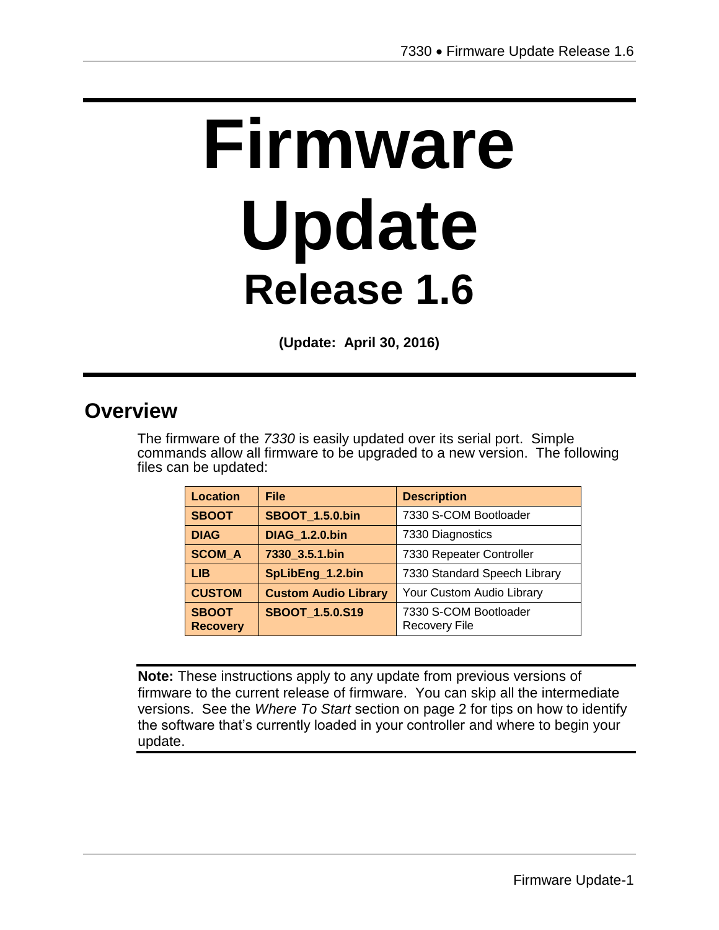# **Firmware Update Release 1.6**

**(Update: April 30, 2016)**

## **Overview**

The firmware of the *7330* is easily updated over its serial port. Simple commands allow all firmware to be upgraded to a new version. The following files can be updated:

| <b>Location</b>                 | <b>File</b>                 | <b>Description</b>                            |
|---------------------------------|-----------------------------|-----------------------------------------------|
| <b>SBOOT</b>                    | <b>SBOOT 1.5.0.bin</b>      | 7330 S-COM Bootloader                         |
| <b>DIAG</b>                     | <b>DIAG_1.2.0.bin</b>       | 7330 Diagnostics                              |
| <b>SCOM A</b>                   | 7330 3.5.1.bin              | 7330 Repeater Controller                      |
| LIB.                            | SpLibEng_1.2.bin            | 7330 Standard Speech Library                  |
| <b>CUSTOM</b>                   | <b>Custom Audio Library</b> | Your Custom Audio Library                     |
| <b>SBOOT</b><br><b>Recovery</b> | <b>SBOOT 1.5.0.S19</b>      | 7330 S-COM Bootloader<br><b>Recovery File</b> |

**Note:** These instructions apply to any update from previous versions of firmware to the current release of firmware. You can skip all the intermediate versions. See the *Where To Start* section on page 2 for tips on how to identify the software that's currently loaded in your controller and where to begin your update.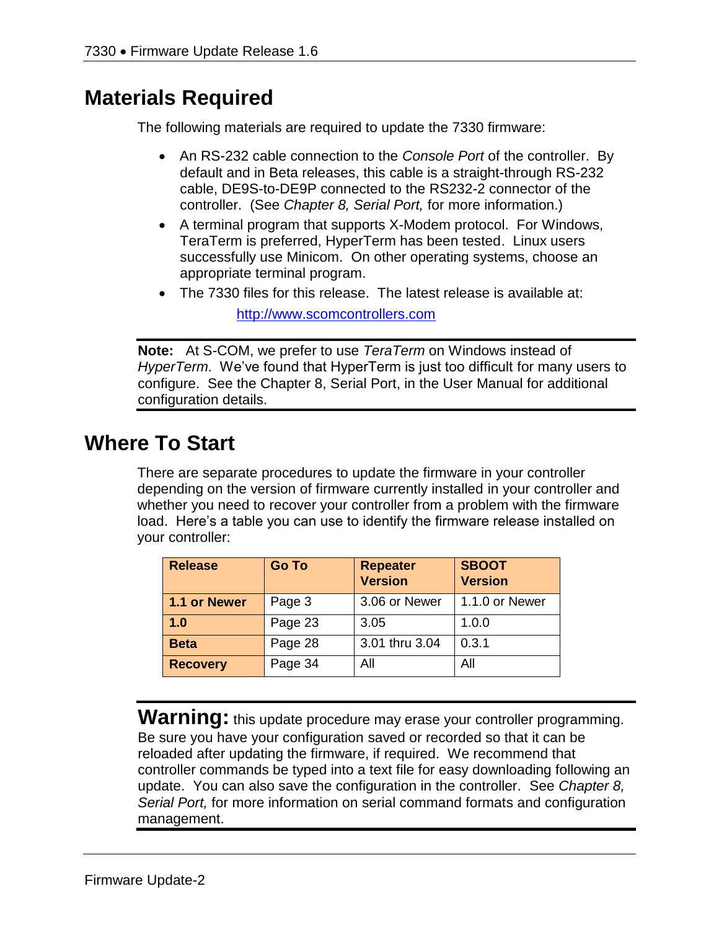# **Materials Required**

The following materials are required to update the 7330 firmware:

- An RS-232 cable connection to the *Console Port* of the controller. By default and in Beta releases, this cable is a straight-through RS-232 cable, DE9S-to-DE9P connected to the RS232-2 connector of the controller. (See *Chapter 8, Serial Port,* for more information.)
- A terminal program that supports X-Modem protocol. For Windows, TeraTerm is preferred, HyperTerm has been tested. Linux users successfully use Minicom. On other operating systems, choose an appropriate terminal program.
- The 7330 files for this release. The latest release is available at:

[http://www.scomcontrollers.com](http://www.scomcontrollers.com/)

**Note:** At S-COM, we prefer to use *TeraTerm* on Windows instead of *HyperTerm*. We've found that HyperTerm is just too difficult for many users to configure. See the Chapter 8, Serial Port, in the User Manual for additional configuration details.

# **Where To Start**

There are separate procedures to update the firmware in your controller depending on the version of firmware currently installed in your controller and whether you need to recover your controller from a problem with the firmware load. Here's a table you can use to identify the firmware release installed on your controller:

| <b>Release</b>  | <b>Go To</b> | <b>Repeater</b><br><b>Version</b> | <b>SBOOT</b><br><b>Version</b> |
|-----------------|--------------|-----------------------------------|--------------------------------|
| 1.1 or Newer    | Page 3       | 3.06 or Newer                     | 1.1.0 or Newer                 |
| 1.0             | Page 23      | 3.05                              | 1.0.0                          |
| <b>Beta</b>     | Page 28      | 3.01 thru 3.04                    | 0.3.1                          |
| <b>Recovery</b> | Page 34      | All                               | All                            |

**Warning:** this update procedure may erase your controller programming. Be sure you have your configuration saved or recorded so that it can be reloaded after updating the firmware, if required. We recommend that controller commands be typed into a text file for easy downloading following an update. You can also save the configuration in the controller. See *Chapter 8, Serial Port,* for more information on serial command formats and configuration management.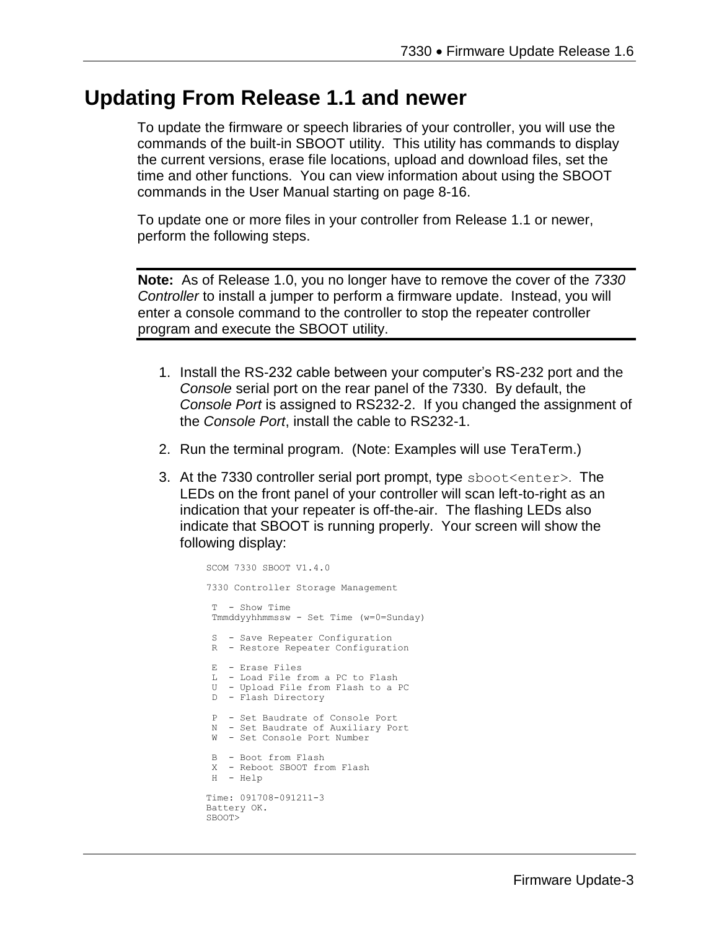## **Updating From Release 1.1 and newer**

To update the firmware or speech libraries of your controller, you will use the commands of the built-in SBOOT utility. This utility has commands to display the current versions, erase file locations, upload and download files, set the time and other functions. You can view information about using the SBOOT commands in the User Manual starting on page 8-16.

To update one or more files in your controller from Release 1.1 or newer, perform the following steps.

**Note:** As of Release 1.0, you no longer have to remove the cover of the *7330 Controller* to install a jumper to perform a firmware update. Instead, you will enter a console command to the controller to stop the repeater controller program and execute the SBOOT utility.

- 1. Install the RS-232 cable between your computer's RS-232 port and the *Console* serial port on the rear panel of the 7330. By default, the *Console Port* is assigned to RS232-2. If you changed the assignment of the *Console Port*, install the cable to RS232-1.
- 2. Run the terminal program. (Note: Examples will use TeraTerm.)
- 3. At the 7330 controller serial port prompt, type sboot<enter>. The LEDs on the front panel of your controller will scan left-to-right as an indication that your repeater is off-the-air. The flashing LEDs also indicate that SBOOT is running properly. Your screen will show the following display:

```
SCOM 7330 SBOOT V1.4.0
7330 Controller Storage Management
 T - Show Time 
Tmmddyyhhmmssw - Set Time (w=0=Sunday)
S - Save Repeater Configuration
R - Restore Repeater Configuration
 E - Erase Files
 L - Load File from a PC to Flash
 U - Upload File from Flash to a PC
 D - Flash Directory
P - Set Baudrate of Console Port
 N - Set Baudrate of Auxiliary Port
 W - Set Console Port Number
B - Boot from Flash
 X - Reboot SBOOT from Flash
H - Help
Time: 091708-091211-3
Battery OK.
SBOOT>
```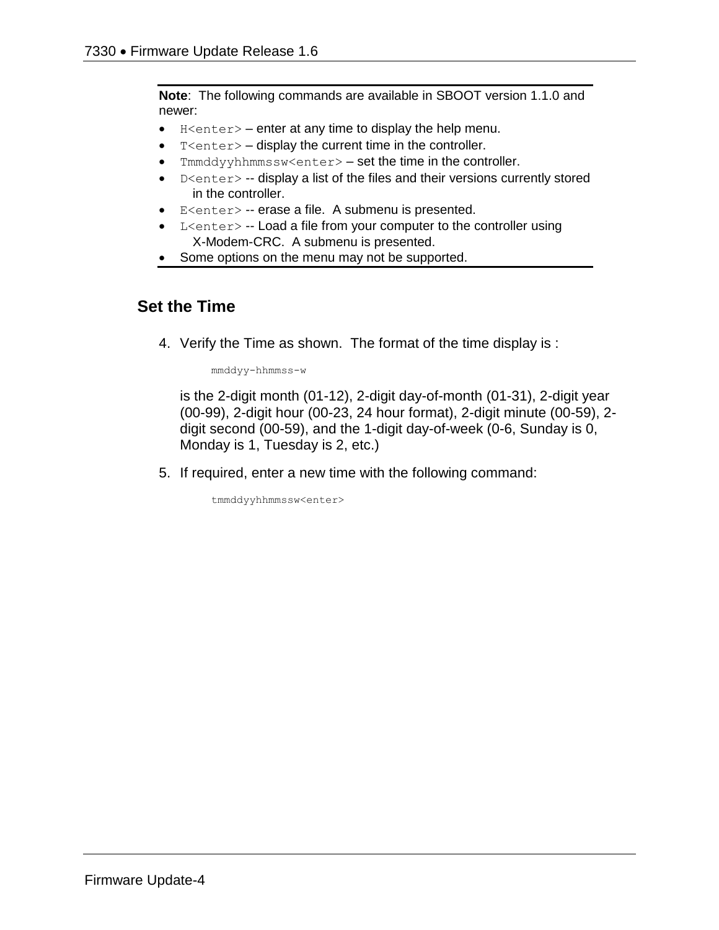**Note**: The following commands are available in SBOOT version 1.1.0 and newer:

- $\bullet$  H<enter> enter at any time to display the help menu.
- $T$  <enter >  $-$  display the current time in the controller.
- Tmmddyyhhmmssw<enter> set the time in the controller.
- D<enter> -- display a list of the files and their versions currently stored in the controller.
- E<enter> -- erase a file. A submenu is presented.
- L<enter> -- Load a file from your computer to the controller using X-Modem-CRC. A submenu is presented.
- Some options on the menu may not be supported.

#### **Set the Time**

4. Verify the Time as shown. The format of the time display is :

mmddyy-hhmmss-w

is the 2-digit month (01-12), 2-digit day-of-month (01-31), 2-digit year (00-99), 2-digit hour (00-23, 24 hour format), 2-digit minute (00-59), 2 digit second (00-59), and the 1-digit day-of-week (0-6, Sunday is 0, Monday is 1, Tuesday is 2, etc.)

5. If required, enter a new time with the following command:

tmmddyyhhmmssw<enter>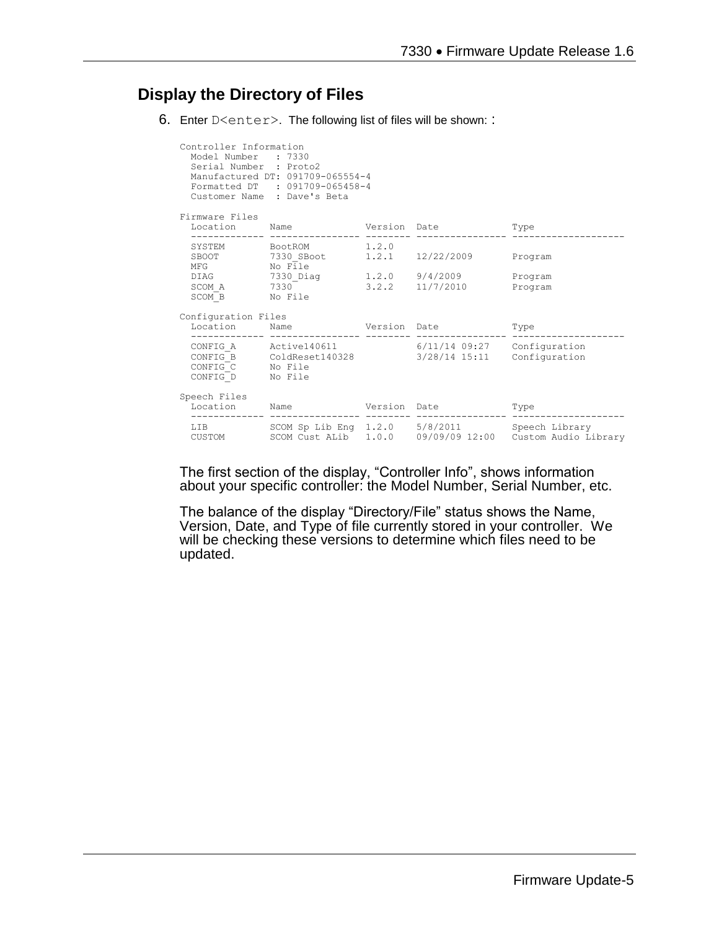### **Display the Directory of Files**

6. Enter D<enter>. The following list of files will be shown: :

| Controller Information<br>Model Number : 7330<br>Serial Number : Proto2 | Manufactured DT: 091709-065554-4<br>Formatted DT : 091709-065458-4<br>Customer Name : Dave's Beta         |  |                                                                 |
|-------------------------------------------------------------------------|-----------------------------------------------------------------------------------------------------------|--|-----------------------------------------------------------------|
| Firmware Files                                                          | Location Name Version Date Type                                                                           |  |                                                                 |
|                                                                         | ----------------- --------                                                                                |  |                                                                 |
|                                                                         | SYSTEM BootROM 1.2.0<br>SBOOT 7330_SBoot 1.2.1 12/22/2009 Program<br>$MFG$ $NQ$ $\overline{1}le$          |  |                                                                 |
| SCOM B No File                                                          | DIAG 7330_Diag 1.2.0 9/4/2009<br>SCOM A 7330 3.2.2 11/7/2010 Program                                      |  | Program                                                         |
| Configuration Files                                                     |                                                                                                           |  |                                                                 |
|                                                                         | Location Mame Version Date Type                                                                           |  |                                                                 |
| CONFIG C No File<br>CONFIG D No File                                    | CONFIG A Active140611 6/11/14 09:27 Configuration<br>CONFIG_B ColdReset140328 3/28/14 15:11 Configuration |  |                                                                 |
| Speech Files                                                            | Location Name Version Date                                                                                |  | Type                                                            |
|                                                                         | LIB SCOM Sp Lib Eng 1.2.0 5/8/2011 Speech Library                                                         |  | CUSTOM SCOM Cust ALib 1.0.0 09/09/09 12:00 Custom Audio Library |

The first section of the display, "Controller Info", shows information about your specific controller: the Model Number, Serial Number, etc.

The balance of the display "Directory/File" status shows the Name, Version, Date, and Type of file currently stored in your controller. We will be checking these versions to determine which files need to be updated.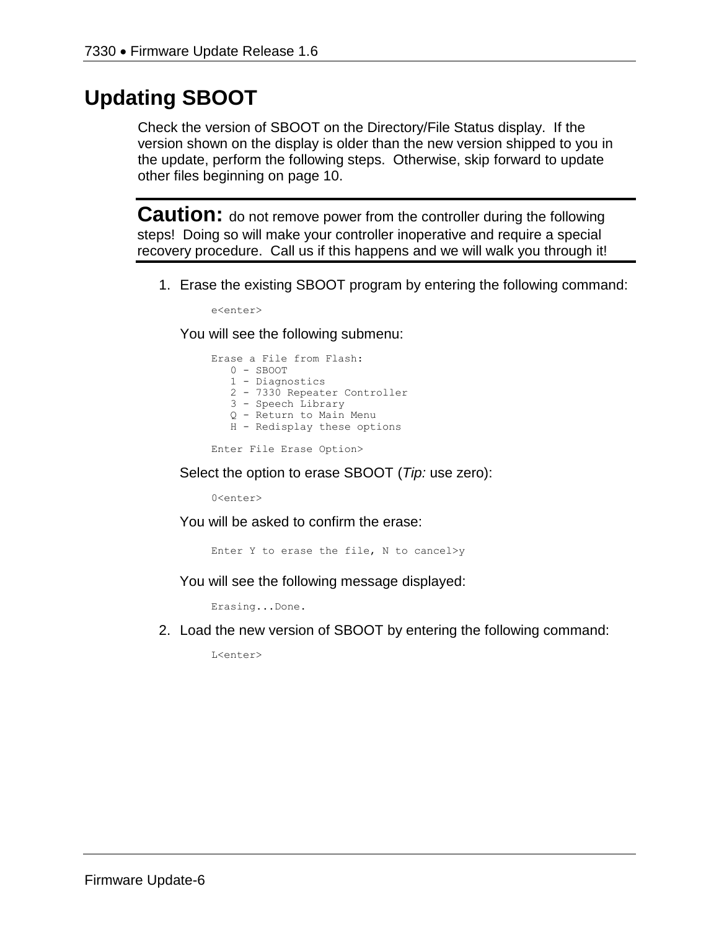# **Updating SBOOT**

Check the version of SBOOT on the Directory/File Status display. If the version shown on the display is older than the new version shipped to you in the update, perform the following steps. Otherwise, skip forward to update other files beginning on page 10.

**Caution:** do not remove power from the controller during the following steps! Doing so will make your controller inoperative and require a special recovery procedure. Call us if this happens and we will walk you through it!

1. Erase the existing SBOOT program by entering the following command:

e<enter>

You will see the following submenu:

Erase a File from Flash: 0 - SBOOT 1 - Diagnostics 2 - 7330 Repeater Controller 3 - Speech Library Q - Return to Main Menu H - Redisplay these options

Enter File Erase Option>

Select the option to erase SBOOT (*Tip:* use zero):

0<enter>

You will be asked to confirm the erase:

Enter Y to erase the file, N to cancel>y

You will see the following message displayed:

Erasing...Done.

2. Load the new version of SBOOT by entering the following command:

L<enter>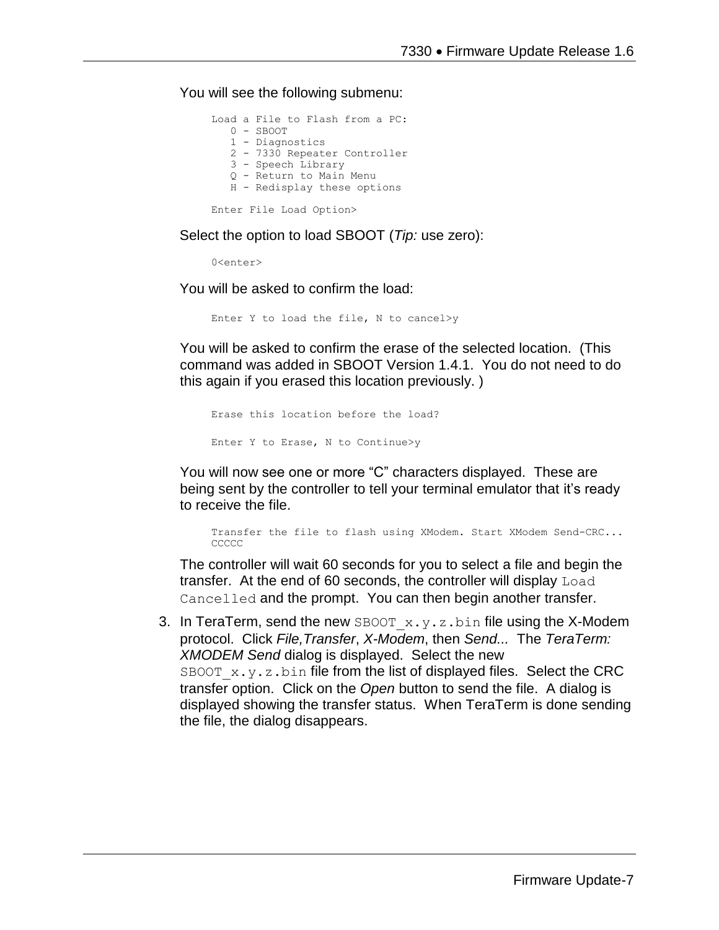You will see the following submenu:

```
Load a File to Flash from a PC:
    0 - SBOOT
    1 - Diagnostics
    2 - 7330 Repeater Controller
    3 - Speech Library
    Q - Return to Main Menu
    H - Redisplay these options
Enter File Load Option>
```
Select the option to load SBOOT (*Tip:* use zero):

 $0$ canter>

You will be asked to confirm the load:

Enter Y to load the file, N to cancel>y

You will be asked to confirm the erase of the selected location. (This command was added in SBOOT Version 1.4.1. You do not need to do this again if you erased this location previously. )

```
Erase this location before the load?
Enter Y to Erase, N to Continue>y
```
You will now see one or more "C" characters displayed. These are being sent by the controller to tell your terminal emulator that it's ready to receive the file.

Transfer the file to flash using XModem. Start XModem Send-CRC... CCCCC

The controller will wait 60 seconds for you to select a file and begin the transfer. At the end of 60 seconds, the controller will display Load Cancelled and the prompt. You can then begin another transfer.

3. In TeraTerm, send the new SBOOT  $x.y.z.bin$  file using the X-Modem protocol. Click *File,Transfer*, *X-Modem*, then *Send...* The *TeraTerm: XMODEM Send* dialog is displayed. Select the new SBOOT  $x.y.z$ . bin file from the list of displayed files. Select the CRC transfer option. Click on the *Open* button to send the file. A dialog is displayed showing the transfer status. When TeraTerm is done sending the file, the dialog disappears.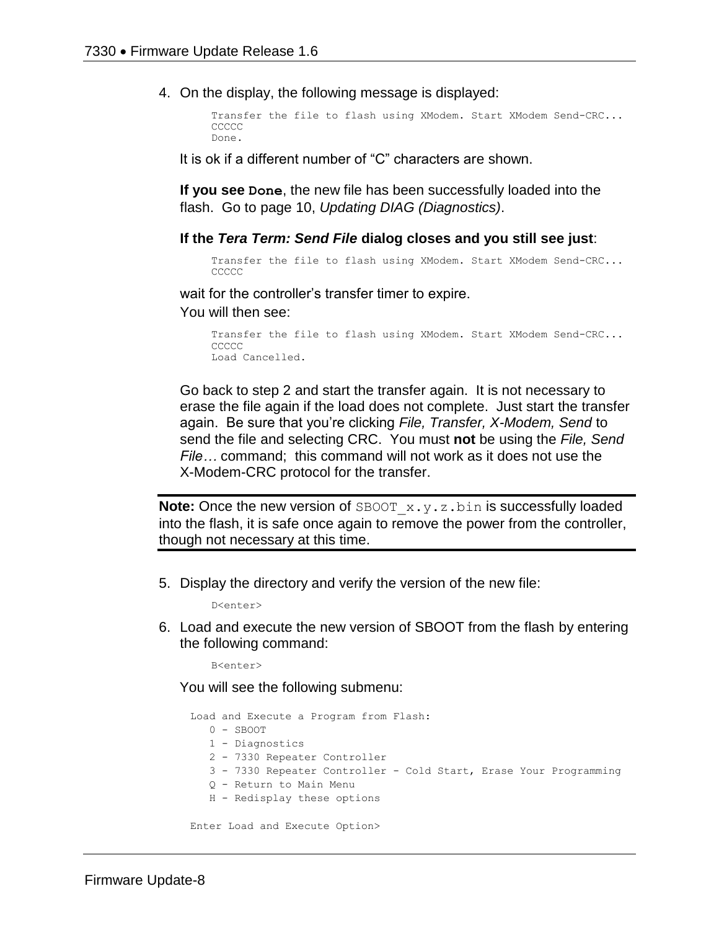4. On the display, the following message is displayed:

```
Transfer the file to flash using XModem. Start XModem Send-CRC...
CCCCC
Done.
```
It is ok if a different number of "C" characters are shown.

**If you see Done**, the new file has been successfully loaded into the flash. Go to page 10, *Updating DIAG (Diagnostics)*.

#### **If the** *Tera Term: Send File* **dialog closes and you still see just**:

```
Transfer the file to flash using XModem. Start XModem Send-CRC...
CCCCC
```
wait for the controller's transfer timer to expire.

You will then see:

```
Transfer the file to flash using XModem. Start XModem Send-CRC...
CCCCC
Load Cancelled.
```
Go back to step 2 and start the transfer again. It is not necessary to erase the file again if the load does not complete. Just start the transfer again. Be sure that you're clicking *File, Transfer, X-Modem, Send* to send the file and selecting CRC. You must **not** be using the *File, Send File…* command; this command will not work as it does not use the X-Modem-CRC protocol for the transfer.

**Note:** Once the new version of SBOOT  $x \cdot y \cdot z \cdot b$  in is successfully loaded into the flash, it is safe once again to remove the power from the controller, though not necessary at this time.

5. Display the directory and verify the version of the new file:

D<enter>

6. Load and execute the new version of SBOOT from the flash by entering the following command:

B<enter>

You will see the following submenu:

Load and Execute a Program from Flash: 0 - SBOOT 1 - Diagnostics 2 - 7330 Repeater Controller 3 - 7330 Repeater Controller - Cold Start, Erase Your Programming Q - Return to Main Menu H - Redisplay these options Enter Load and Execute Option>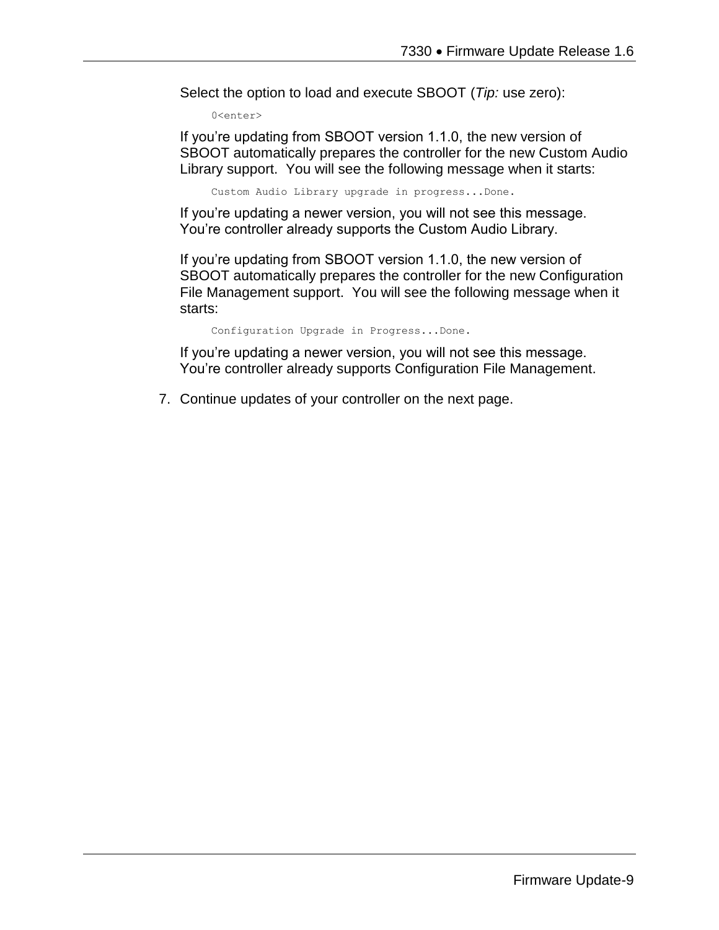Select the option to load and execute SBOOT (*Tip:* use zero):

0<enter>

If you're updating from SBOOT version 1.1.0, the new version of SBOOT automatically prepares the controller for the new Custom Audio Library support. You will see the following message when it starts:

Custom Audio Library upgrade in progress...Done.

If you're updating a newer version, you will not see this message. You're controller already supports the Custom Audio Library.

If you're updating from SBOOT version 1.1.0, the new version of SBOOT automatically prepares the controller for the new Configuration File Management support. You will see the following message when it starts:

Configuration Upgrade in Progress...Done.

If you're updating a newer version, you will not see this message. You're controller already supports Configuration File Management.

7. Continue updates of your controller on the next page.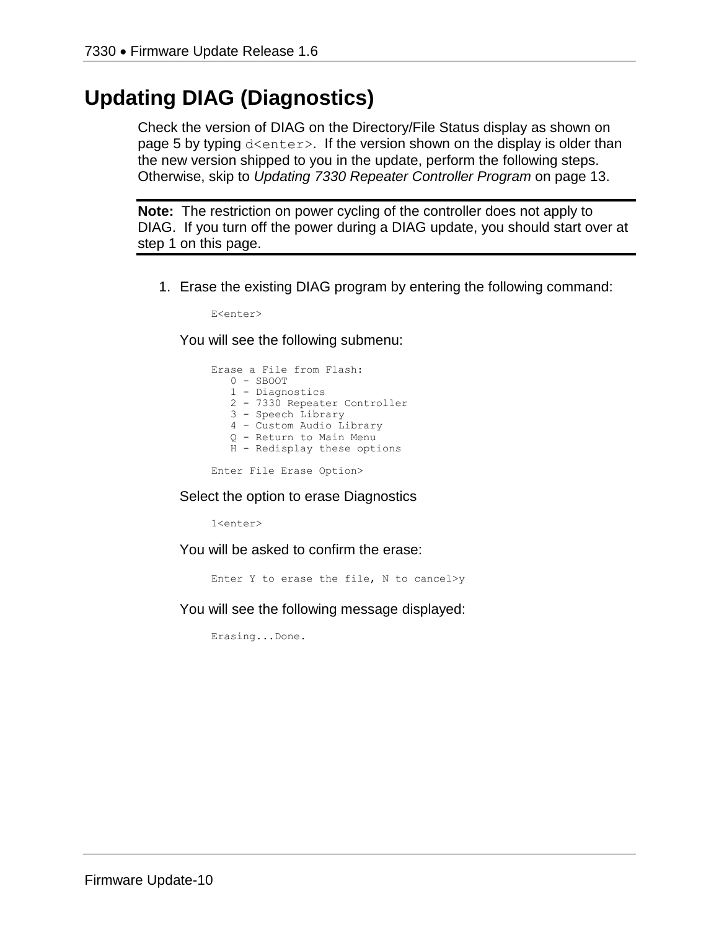# **Updating DIAG (Diagnostics)**

Check the version of DIAG on the Directory/File Status display as shown on page 5 by typing d<enter>. If the version shown on the display is older than the new version shipped to you in the update, perform the following steps. Otherwise, skip to *Updating 7330 Repeater Controller Program* on page 13.

**Note:** The restriction on power cycling of the controller does not apply to DIAG. If you turn off the power during a DIAG update, you should start over at step 1 on this page.

1. Erase the existing DIAG program by entering the following command:

E<enter>

You will see the following submenu:

Erase a File from Flash: 0 - SBOOT 1 - Diagnostics 2 - 7330 Repeater Controller 3 - Speech Library 4 – Custom Audio Library Q - Return to Main Menu H - Redisplay these options

Enter File Erase Option>

#### Select the option to erase Diagnostics

1<enter>

You will be asked to confirm the erase:

Enter Y to erase the file, N to cancel>y

You will see the following message displayed:

Erasing...Done.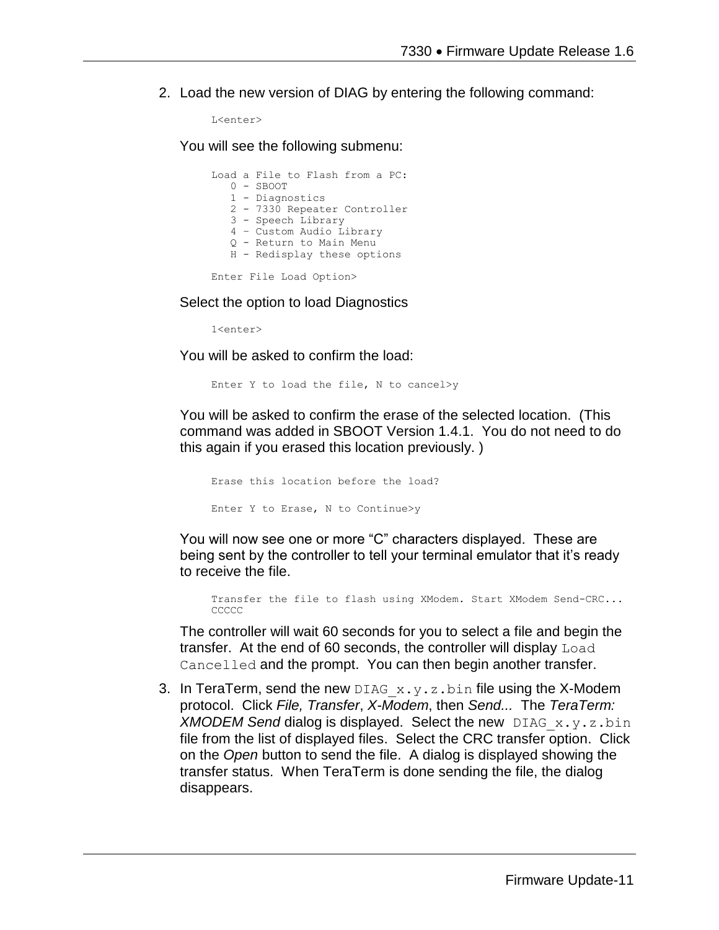2. Load the new version of DIAG by entering the following command:

```
L<enter>
```
You will see the following submenu:

|  | Load a File to Flash from a PC: |
|--|---------------------------------|
|  | $0 -$ SBOOT                     |
|  | 1 - Diagnostics                 |
|  | 2 - 7330 Repeater Controller    |
|  | 3 - Speech Library              |
|  | 4 - Custom Audio Library        |
|  | 0 - Return to Main Menu         |
|  | H - Redisplay these options     |
|  |                                 |

Enter File Load Option>

Select the option to load Diagnostics

1<enter>

You will be asked to confirm the load:

Enter Y to load the file, N to cancel>y

You will be asked to confirm the erase of the selected location. (This command was added in SBOOT Version 1.4.1. You do not need to do this again if you erased this location previously. )

Erase this location before the load? Enter Y to Erase, N to Continue>y

You will now see one or more "C" characters displayed. These are being sent by the controller to tell your terminal emulator that it's ready to receive the file.

Transfer the file to flash using XModem. Start XModem Send-CRC... CCCCC

The controller will wait 60 seconds for you to select a file and begin the transfer. At the end of 60 seconds, the controller will display Load Cancelled and the prompt. You can then begin another transfer.

3. In TeraTerm, send the new DIAG  $x, y, z, b$  in file using the X-Modem protocol. Click *File, Transfer*, *X-Modem*, then *Send...* The *TeraTerm: XMODEM Send* dialog is displayed. Select the new DIAG\_x.y.z.bin file from the list of displayed files. Select the CRC transfer option. Click on the *Open* button to send the file. A dialog is displayed showing the transfer status. When TeraTerm is done sending the file, the dialog disappears.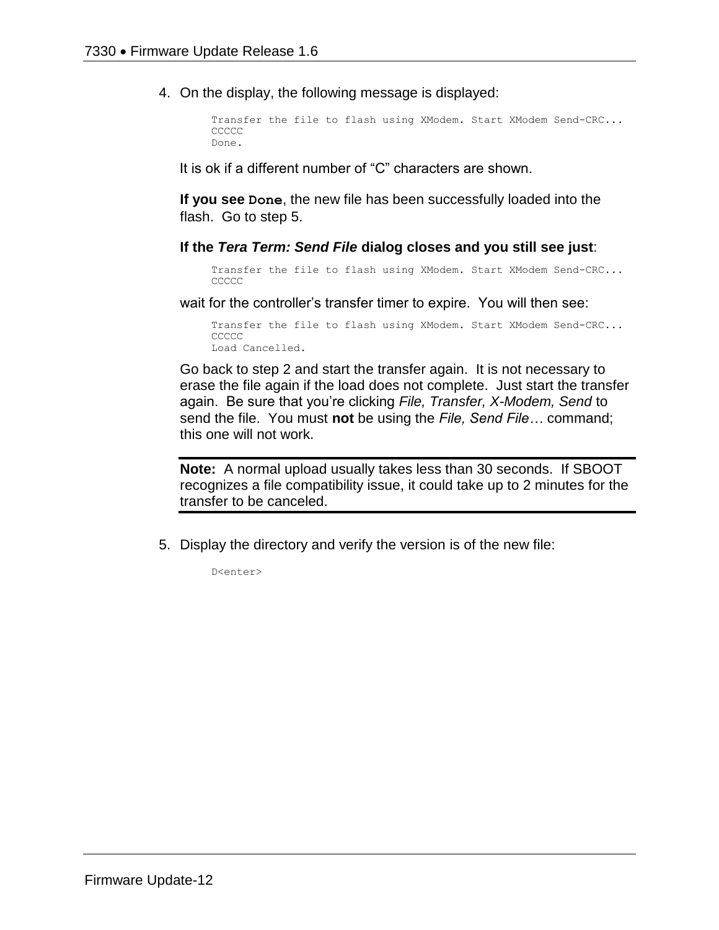4. On the display, the following message is displayed:

```
Transfer the file to flash using XModem. Start XModem Send-CRC...
CCCCC
Done.
```
It is ok if a different number of "C" characters are shown.

**If you see Done**, the new file has been successfully loaded into the flash. Go to step 5.

**If the** *Tera Term: Send File* **dialog closes and you still see just**:

Transfer the file to flash using XModem. Start XModem Send-CRC... **CCCCC** 

wait for the controller's transfer timer to expire. You will then see:

Transfer the file to flash using XModem. Start XModem Send-CRC... **CCCCC** Load Cancelled.

Go back to step 2 and start the transfer again. It is not necessary to erase the file again if the load does not complete. Just start the transfer again. Be sure that you're clicking *File, Transfer, X-Modem, Send* to send the file. You must **not** be using the *File, Send File…* command; this one will not work.

**Note:** A normal upload usually takes less than 30 seconds. If SBOOT recognizes a file compatibility issue, it could take up to 2 minutes for the transfer to be canceled.

5. Display the directory and verify the version is of the new file:

D<enter>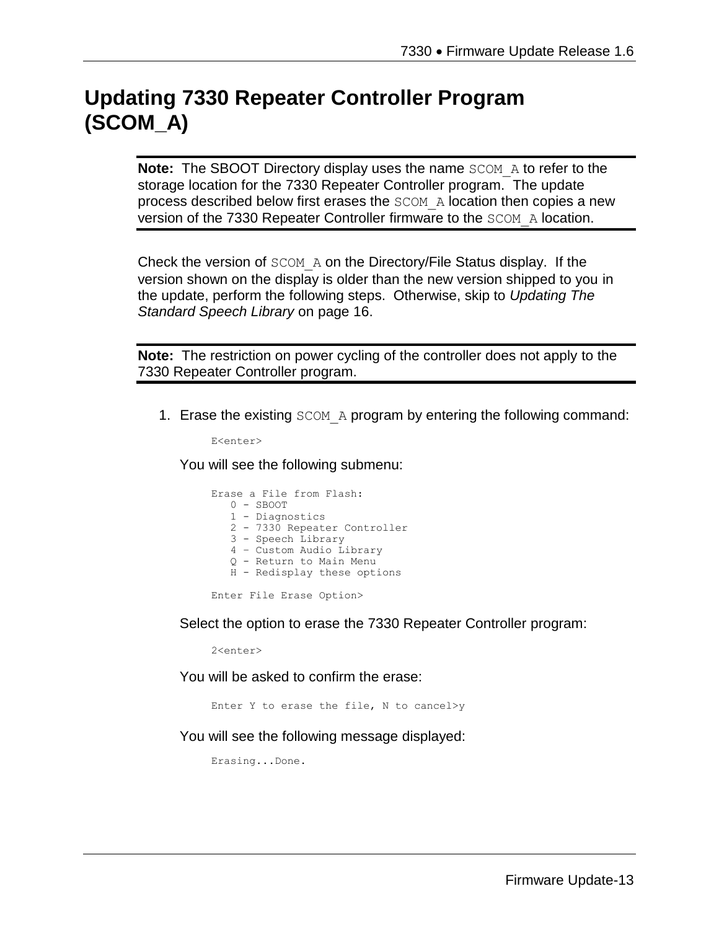# **Updating 7330 Repeater Controller Program (SCOM\_A)**

**Note:** The SBOOT Directory display uses the name SCOM A to refer to the storage location for the 7330 Repeater Controller program. The update process described below first erases the SCOM\_A location then copies a new version of the 7330 Repeater Controller firmware to the SCOM\_A location.

Check the version of SCOM\_A on the Directory/File Status display. If the version shown on the display is older than the new version shipped to you in the update, perform the following steps. Otherwise, skip to *Updating The Standard Speech Library* on page 16.

**Note:** The restriction on power cycling of the controller does not apply to the 7330 Repeater Controller program.

1. Erase the existing SCOM A program by entering the following command:

E<enter>

You will see the following submenu:

|  | Erase a File from Flash:     |
|--|------------------------------|
|  | $0 -$ SBOOT                  |
|  | 1 - Diagnostics              |
|  | 2 - 7330 Repeater Controller |
|  | 3 - Speech Library           |
|  | 4 - Custom Audio Library     |
|  | 0 - Return to Main Menu      |
|  | H - Redisplay these options  |
|  |                              |

Enter File Erase Option>

Select the option to erase the 7330 Repeater Controller program:

2<enter>

You will be asked to confirm the erase:

Enter Y to erase the file, N to cancel>y

You will see the following message displayed:

Erasing...Done.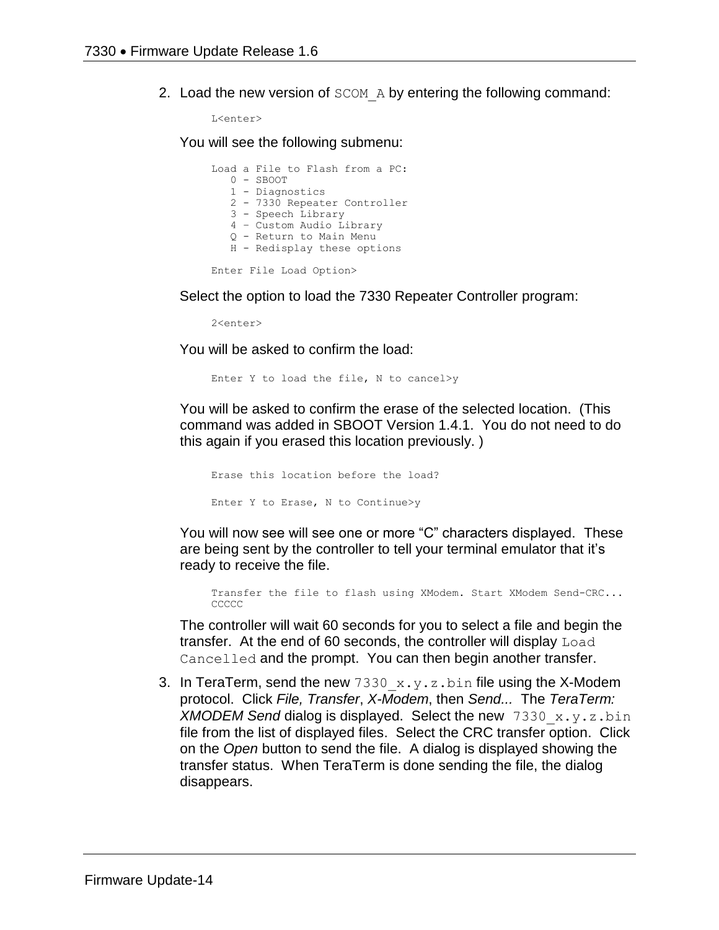2. Load the new version of SCOM A by entering the following command:

L<enter>

You will see the following submenu:

Load a File to Flash from a PC: 0 - SBOOT 1 - Diagnostics 2 - 7330 Repeater Controller 3 - Speech Library 4 – Custom Audio Library Q - Return to Main Menu H - Redisplay these options Enter File Load Option>

Select the option to load the 7330 Repeater Controller program:

2<enter>

You will be asked to confirm the load:

Enter Y to load the file, N to cancel>y

You will be asked to confirm the erase of the selected location. (This command was added in SBOOT Version 1.4.1. You do not need to do this again if you erased this location previously. )

Erase this location before the load? Enter Y to Erase, N to Continue>y

You will now see will see one or more "C" characters displayed. These are being sent by the controller to tell your terminal emulator that it's ready to receive the file.

Transfer the file to flash using XModem. Start XModem Send-CRC... CCCCC

The controller will wait 60 seconds for you to select a file and begin the transfer. At the end of 60 seconds, the controller will display Load Cancelled and the prompt. You can then begin another transfer.

3. In TeraTerm, send the new  $7330 \times y.$  z.bin file using the X-Modem protocol. Click *File, Transfer*, *X-Modem*, then *Send...* The *TeraTerm: XMODEM Send* dialog is displayed. Select the new 7330\_x.y.z.bin file from the list of displayed files. Select the CRC transfer option. Click on the *Open* button to send the file. A dialog is displayed showing the transfer status. When TeraTerm is done sending the file, the dialog disappears.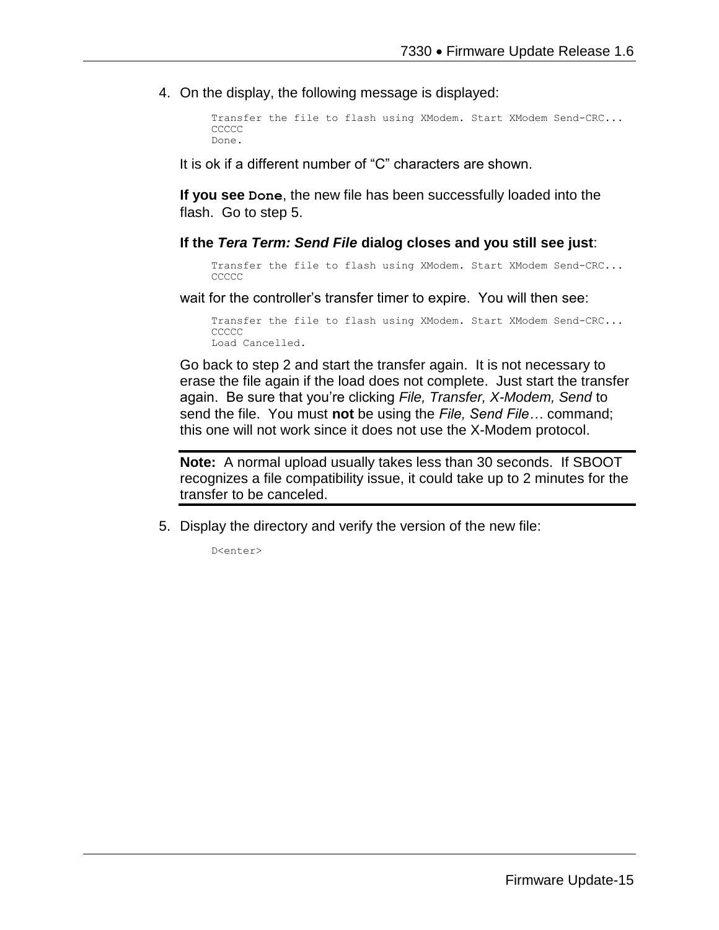4. On the display, the following message is displayed:

```
Transfer the file to flash using XModem. Start XModem Send-CRC...
CCCCC
Done.
```
It is ok if a different number of "C" characters are shown.

**If you see Done**, the new file has been successfully loaded into the flash. Go to step 5.

#### **If the** *Tera Term: Send File* **dialog closes and you still see just**:

Transfer the file to flash using XModem. Start XModem Send-CRC... CCCCC

wait for the controller's transfer timer to expire. You will then see:

Transfer the file to flash using XModem. Start XModem Send-CRC... **CCCCC** Load Cancelled.

Go back to step 2 and start the transfer again. It is not necessary to erase the file again if the load does not complete. Just start the transfer again. Be sure that you're clicking *File, Transfer, X-Modem, Send* to send the file. You must **not** be using the *File, Send File…* command; this one will not work since it does not use the X-Modem protocol.

**Note:** A normal upload usually takes less than 30 seconds. If SBOOT recognizes a file compatibility issue, it could take up to 2 minutes for the transfer to be canceled.

5. Display the directory and verify the version of the new file:

D<enter>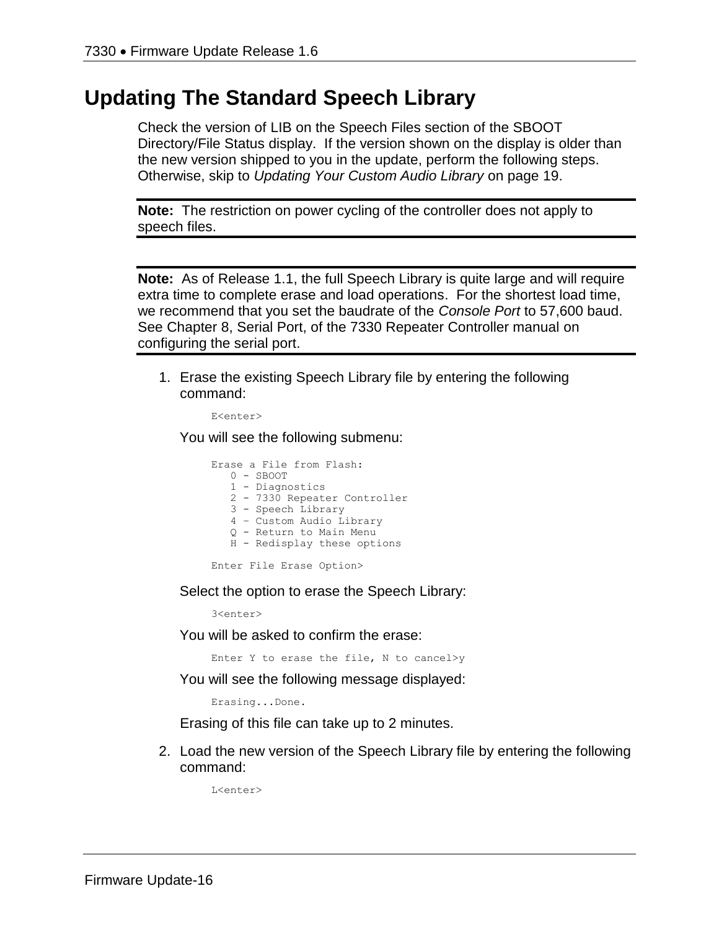## **Updating The Standard Speech Library**

Check the version of LIB on the Speech Files section of the SBOOT Directory/File Status display. If the version shown on the display is older than the new version shipped to you in the update, perform the following steps. Otherwise, skip to *Updating Your Custom Audio Library* on page 19.

**Note:** The restriction on power cycling of the controller does not apply to speech files.

**Note:** As of Release 1.1, the full Speech Library is quite large and will require extra time to complete erase and load operations. For the shortest load time, we recommend that you set the baudrate of the *Console Port* to 57,600 baud. See Chapter 8, Serial Port, of the 7330 Repeater Controller manual on configuring the serial port.

1. Erase the existing Speech Library file by entering the following command:

E<enter>

You will see the following submenu:

| Erase a File from Flash:     |
|------------------------------|
| $0 -$ SBOOT                  |
| 1 - Diagnostics              |
| 2 - 7330 Repeater Controller |
| 3 - Speech Library           |
| 4 - Custom Audio Library     |
| 0 - Return to Main Menu      |
| H - Redisplay these options  |
|                              |

Enter File Erase Option>

Select the option to erase the Speech Library:

3<enter>

You will be asked to confirm the erase:

Enter Y to erase the file, N to cancel>y

You will see the following message displayed:

Erasing...Done.

Erasing of this file can take up to 2 minutes.

2. Load the new version of the Speech Library file by entering the following command:

L<enter>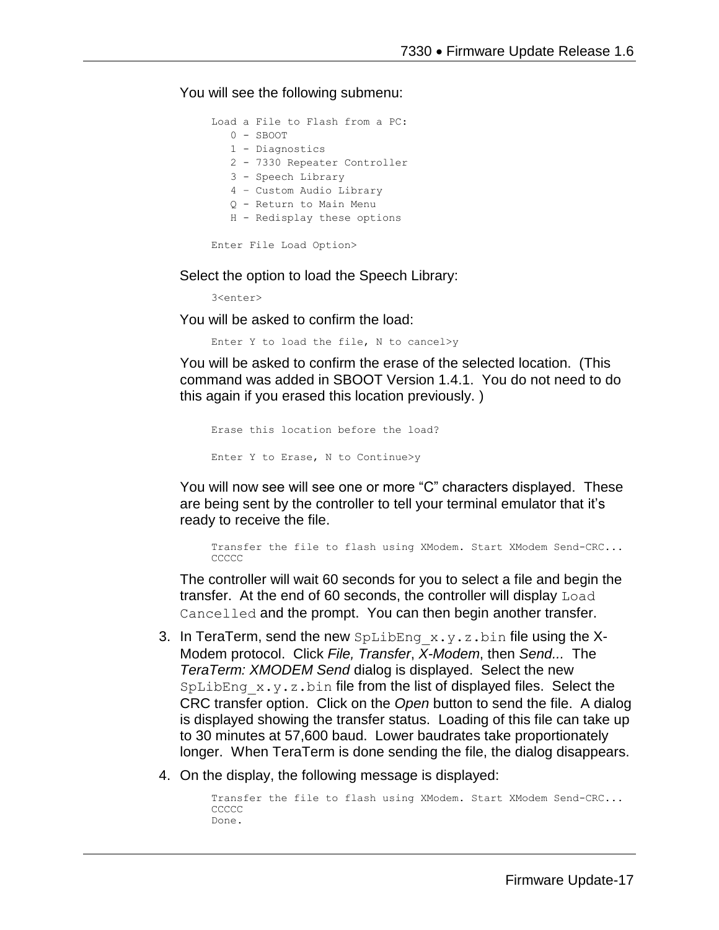You will see the following submenu:

|  | Load a File to Flash from a PC: |
|--|---------------------------------|
|  | $0 -$ SBOOT                     |
|  | 1 - Diagnostics                 |
|  | 2 - 7330 Repeater Controller    |
|  | 3 - Speech Library              |
|  | 4 - Custom Audio Library        |
|  | 0 - Return to Main Menu         |
|  | H - Redisplay these options     |
|  |                                 |
|  | Enter File Load Option>         |

Select the option to load the Speech Library:

3<enter>

You will be asked to confirm the load:

Enter Y to load the file, N to cancel>y

You will be asked to confirm the erase of the selected location. (This command was added in SBOOT Version 1.4.1. You do not need to do this again if you erased this location previously. )

```
Erase this location before the load?
Enter Y to Erase, N to Continue>y
```
You will now see will see one or more "C" characters displayed. These are being sent by the controller to tell your terminal emulator that it's ready to receive the file.

Transfer the file to flash using XModem. Start XModem Send-CRC... CCCCC

The controller will wait 60 seconds for you to select a file and begin the transfer. At the end of 60 seconds, the controller will display Load Cancelled and the prompt. You can then begin another transfer.

- 3. In TeraTerm, send the new  $\text{Spliting }x,y,z$  bin file using the X-Modem protocol. Click *File, Transfer*, *X-Modem*, then *Send...* The *TeraTerm: XMODEM Send* dialog is displayed. Select the new  $SpLibEng \times y.$ z.bin file from the list of displayed files. Select the CRC transfer option. Click on the *Open* button to send the file. A dialog is displayed showing the transfer status. Loading of this file can take up to 30 minutes at 57,600 baud. Lower baudrates take proportionately longer. When TeraTerm is done sending the file, the dialog disappears.
- 4. On the display, the following message is displayed:

```
Transfer the file to flash using XModem. Start XModem Send-CRC...
CCCCC
Done.
```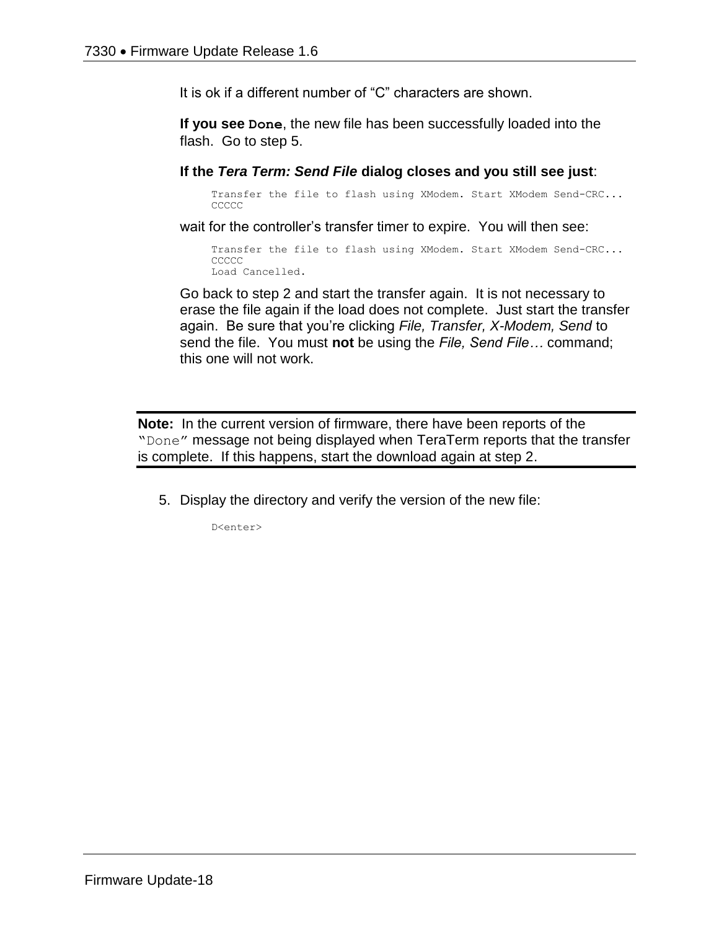It is ok if a different number of "C" characters are shown.

**If you see Done**, the new file has been successfully loaded into the flash. Go to step 5.

**If the** *Tera Term: Send File* **dialog closes and you still see just**:

Transfer the file to flash using XModem. Start XModem Send-CRC... **CCCCC** 

wait for the controller's transfer timer to expire. You will then see:

Transfer the file to flash using XModem. Start XModem Send-CRC... **CCCCC** Load Cancelled.

Go back to step 2 and start the transfer again. It is not necessary to erase the file again if the load does not complete. Just start the transfer again. Be sure that you're clicking *File, Transfer, X-Modem, Send* to send the file. You must **not** be using the *File, Send File…* command; this one will not work.

**Note:** In the current version of firmware, there have been reports of the "Done" message not being displayed when TeraTerm reports that the transfer is complete. If this happens, start the download again at step 2.

5. Display the directory and verify the version of the new file:

D<enter>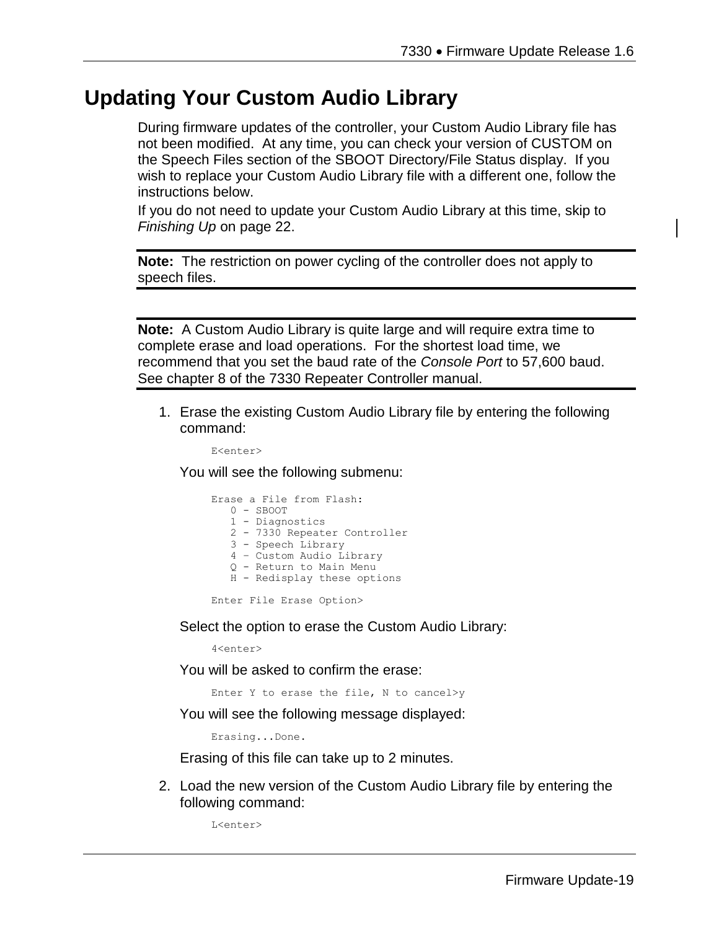## **Updating Your Custom Audio Library**

During firmware updates of the controller, your Custom Audio Library file has not been modified. At any time, you can check your version of CUSTOM on the Speech Files section of the SBOOT Directory/File Status display. If you wish to replace your Custom Audio Library file with a different one, follow the instructions below.

If you do not need to update your Custom Audio Library at this time, skip to *Finishing Up* on page 22.

**Note:** The restriction on power cycling of the controller does not apply to speech files.

**Note:** A Custom Audio Library is quite large and will require extra time to complete erase and load operations. For the shortest load time, we recommend that you set the baud rate of the *Console Port* to 57,600 baud. See chapter 8 of the 7330 Repeater Controller manual.

1. Erase the existing Custom Audio Library file by entering the following command:

E<enter>

You will see the following submenu:

|  | Erase a File from Flash:     |
|--|------------------------------|
|  | $0 -$ SBOOT                  |
|  | 1 - Diagnostics              |
|  | 2 - 7330 Repeater Controller |
|  | 3 - Speech Library           |
|  | 4 - Custom Audio Library     |
|  | 0 - Return to Main Menu      |
|  | H - Redisplay these options  |
|  |                              |

Enter File Erase Option>

Select the option to erase the Custom Audio Library:

4<enter>

You will be asked to confirm the erase:

Enter Y to erase the file, N to cancel>y

You will see the following message displayed:

Erasing...Done.

Erasing of this file can take up to 2 minutes.

2. Load the new version of the Custom Audio Library file by entering the following command:

L<enter>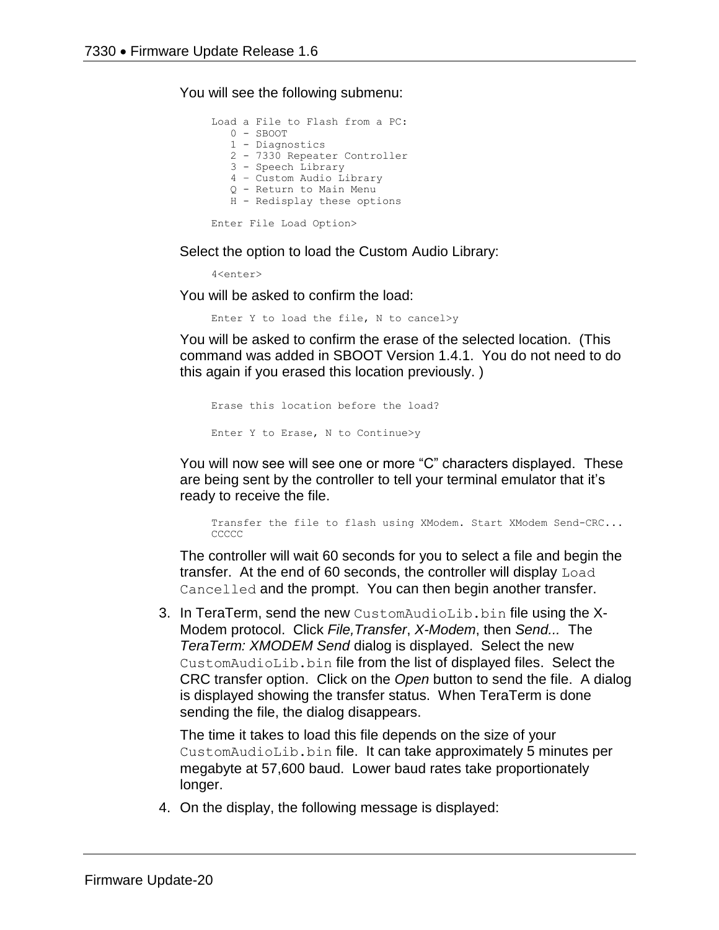You will see the following submenu:

Load a File to Flash from a PC: 0 - SBOOT 1 - Diagnostics 2 - 7330 Repeater Controller 3 - Speech Library 4 – Custom Audio Library Q - Return to Main Menu H - Redisplay these options Enter File Load Option>

Select the option to load the Custom Audio Library:

4<enter>

You will be asked to confirm the load:

Enter Y to load the file, N to cancel>y

You will be asked to confirm the erase of the selected location. (This command was added in SBOOT Version 1.4.1. You do not need to do this again if you erased this location previously. )

```
Erase this location before the load?
Enter Y to Erase, N to Continue>y
```
You will now see will see one or more "C" characters displayed. These are being sent by the controller to tell your terminal emulator that it's ready to receive the file.

Transfer the file to flash using XModem. Start XModem Send-CRC... **CCCCC** 

The controller will wait 60 seconds for you to select a file and begin the transfer. At the end of 60 seconds, the controller will display Load Cancelled and the prompt. You can then begin another transfer.

3. In TeraTerm, send the new CustomAudioLib.bin file using the X-Modem protocol. Click *File,Transfer*, *X-Modem*, then *Send...* The *TeraTerm: XMODEM Send* dialog is displayed. Select the new CustomAudioLib.bin file from the list of displayed files. Select the CRC transfer option. Click on the *Open* button to send the file. A dialog is displayed showing the transfer status. When TeraTerm is done sending the file, the dialog disappears.

The time it takes to load this file depends on the size of your CustomAudioLib.bin file. It can take approximately 5 minutes per megabyte at 57,600 baud. Lower baud rates take proportionately longer.

4. On the display, the following message is displayed: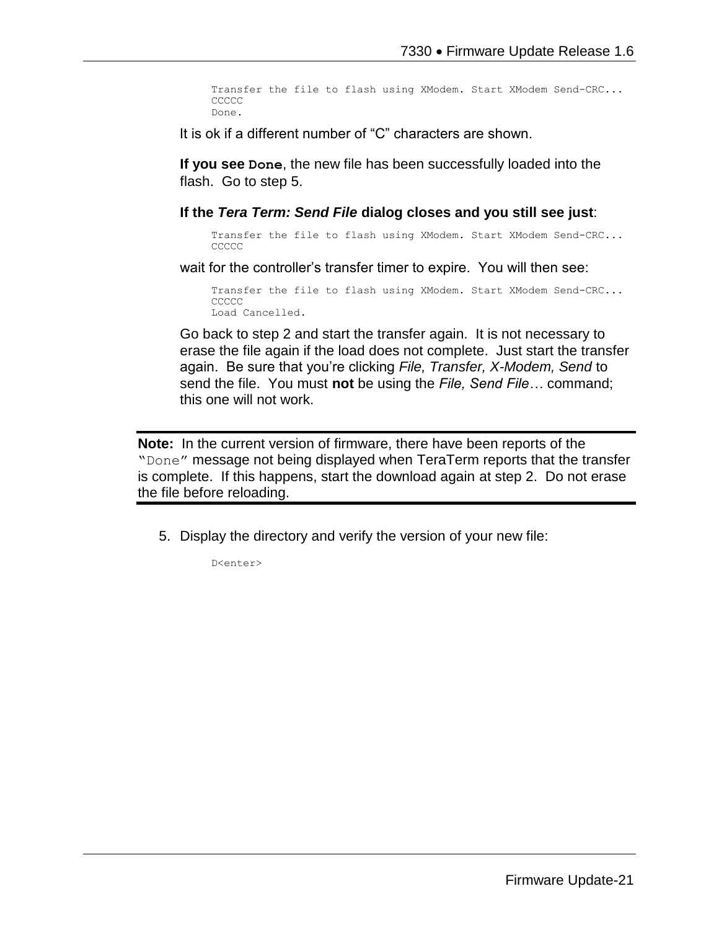```
Transfer the file to flash using XModem. Start XModem Send-CRC...
CCCCC
Done.
```
It is ok if a different number of "C" characters are shown.

**If you see Done**, the new file has been successfully loaded into the flash. Go to step 5.

**If the** *Tera Term: Send File* **dialog closes and you still see just**:

Transfer the file to flash using XModem. Start XModem Send-CRC... **CCCCC** 

wait for the controller's transfer timer to expire. You will then see:

Transfer the file to flash using XModem. Start XModem Send-CRC... **CCCCC** Load Cancelled.

Go back to step 2 and start the transfer again. It is not necessary to erase the file again if the load does not complete. Just start the transfer again. Be sure that you're clicking *File, Transfer, X-Modem, Send* to send the file. You must **not** be using the *File, Send File…* command; this one will not work.

**Note:** In the current version of firmware, there have been reports of the "Done" message not being displayed when TeraTerm reports that the transfer is complete. If this happens, start the download again at step 2. Do not erase the file before reloading.

5. Display the directory and verify the version of your new file:

D<enter>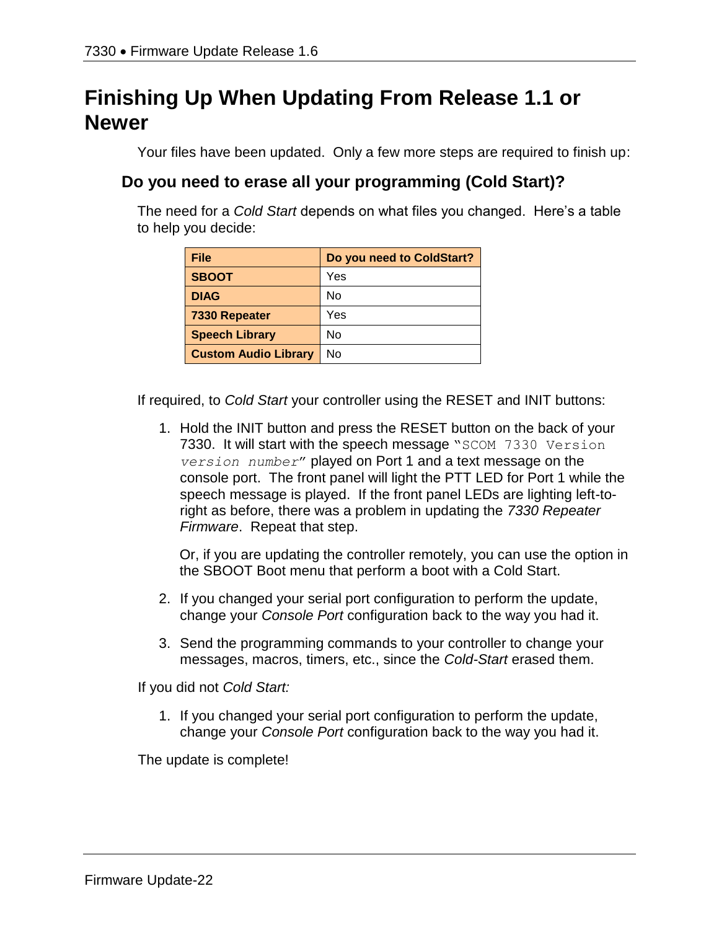# **Finishing Up When Updating From Release 1.1 or Newer**

Your files have been updated. Only a few more steps are required to finish up:

## **Do you need to erase all your programming (Cold Start)?**

The need for a *Cold Start* depends on what files you changed. Here's a table to help you decide:

| File                        | Do you need to ColdStart? |
|-----------------------------|---------------------------|
| <b>SBOOT</b>                | Yes                       |
| <b>DIAG</b>                 | N٥                        |
| 7330 Repeater               | Yes                       |
| <b>Speech Library</b>       | No                        |
| <b>Custom Audio Library</b> | No                        |

If required, to *Cold Start* your controller using the RESET and INIT buttons:

1. Hold the INIT button and press the RESET button on the back of your 7330. It will start with the speech message "SCOM 7330 Version *version number*" played on Port 1 and a text message on the console port. The front panel will light the PTT LED for Port 1 while the speech message is played. If the front panel LEDs are lighting left-toright as before, there was a problem in updating the *7330 Repeater Firmware*. Repeat that step.

Or, if you are updating the controller remotely, you can use the option in the SBOOT Boot menu that perform a boot with a Cold Start.

- 2. If you changed your serial port configuration to perform the update, change your *Console Port* configuration back to the way you had it.
- 3. Send the programming commands to your controller to change your messages, macros, timers, etc., since the *Cold-Start* erased them.

If you did not *Cold Start:*

1. If you changed your serial port configuration to perform the update, change your *Console Port* configuration back to the way you had it.

The update is complete!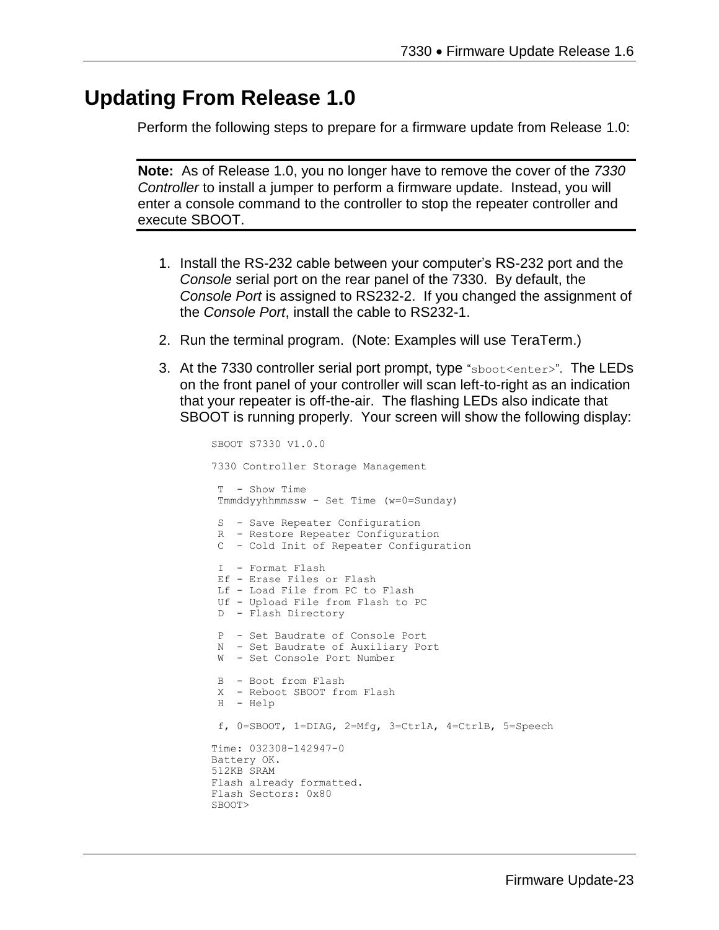## **Updating From Release 1.0**

Perform the following steps to prepare for a firmware update from Release 1.0:

**Note:** As of Release 1.0, you no longer have to remove the cover of the *7330 Controller* to install a jumper to perform a firmware update. Instead, you will enter a console command to the controller to stop the repeater controller and execute SBOOT.

- 1. Install the RS-232 cable between your computer's RS-232 port and the *Console* serial port on the rear panel of the 7330. By default, the *Console Port* is assigned to RS232-2. If you changed the assignment of the *Console Port*, install the cable to RS232-1.
- 2. Run the terminal program. (Note: Examples will use TeraTerm.)
- 3. At the 7330 controller serial port prompt, type "sboot<enter>". The LEDs on the front panel of your controller will scan left-to-right as an indication that your repeater is off-the-air. The flashing LEDs also indicate that SBOOT is running properly. Your screen will show the following display:

```
SBOOT S7330 V1.0.0
7330 Controller Storage Management
T - Show Time
Tmmddyyhhmmssw - Set Time (w=0=Sunday)
S - Save Repeater Configuration
R - Restore Repeater Configuration
C - Cold Init of Repeater Configuration
I - Format Flash
Ef - Erase Files or Flash
Lf - Load File from PC to Flash
Uf - Upload File from Flash to PC
D - Flash Directory
P - Set Baudrate of Console Port
N - Set Baudrate of Auxiliary Port
W - Set Console Port Number
B - Boot from Flash
X - Reboot SBOOT from Flash
H - Help
f, 0=SBOOT, 1=DIAG, 2=Mfg, 3=CtrlA, 4=CtrlB, 5=Speech
Time: 032308-142947-0
Battery OK.
512KB SRAM
Flash already formatted.
Flash Sectors: 0x80
SBOOT>
```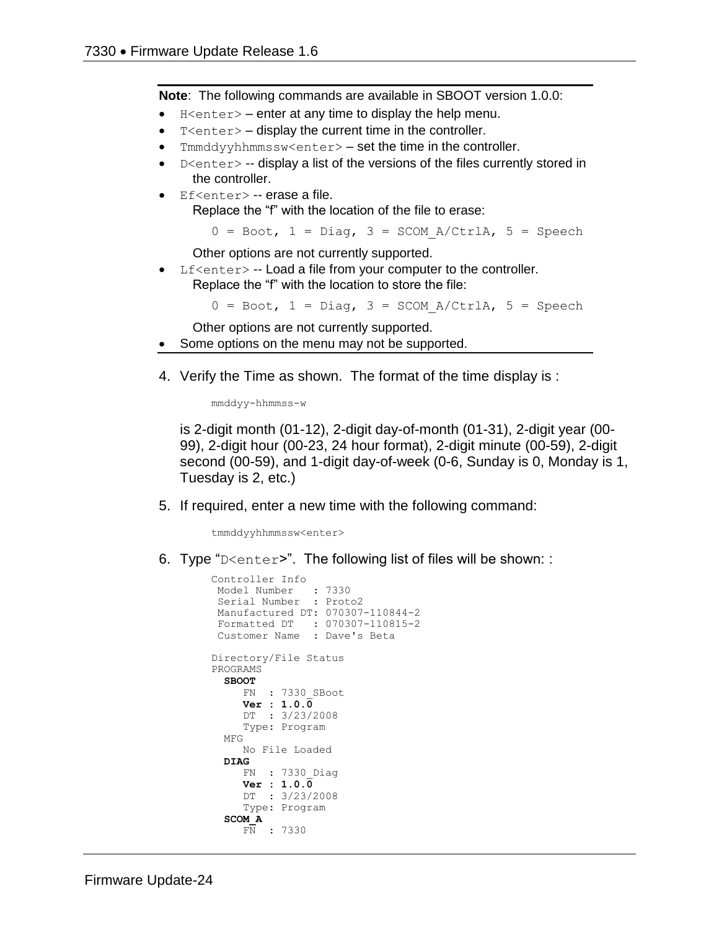**Note**: The following commands are available in SBOOT version 1.0.0:

- $H \leq h$  = enter at any time to display the help menu.
- $T$  <enter  $>$  display the current time in the controller.
- $T$ mmddyyhhmmssw<enter>  $-$  set the time in the controller.
- $D \leq C$  -- display a list of the versions of the files currently stored in the controller.
- Ef<enter> -- erase a file. Replace the "f" with the location of the file to erase:

 $0 = \text{Boot}$ ,  $1 = \text{Diag}$ ,  $3 = \text{SCOM}$  A/CtrlA,  $5 = \text{Speech}$ 

Other options are not currently supported.

 $Lf$  < enter  $>$  -- Load a file from your computer to the controller. Replace the "f" with the location to store the file:

 $0 = \text{foot}, 1 = \text{Diag}, 3 = \text{SCOM A/CtrlA}, 5 = \text{Speedch}$ 

Other options are not currently supported.

- Some options on the menu may not be supported.
- 4. Verify the Time as shown. The format of the time display is :

mmddyy-hhmmss-w

is 2-digit month (01-12), 2-digit day-of-month (01-31), 2-digit year (00- 99), 2-digit hour (00-23, 24 hour format), 2-digit minute (00-59), 2-digit second (00-59), and 1-digit day-of-week (0-6, Sunday is 0, Monday is 1, Tuesday is 2, etc.)

5. If required, enter a new time with the following command:

tmmddyyhhmmssw<enter>

6. Type "D<enter>". The following list of files will be shown: :

```
Controller Info
 Model Number : 7330
 Serial Number : Proto2
Manufactured DT: 070307-110844-2
Formatted DT : 070307-110815-2
Customer Name : Dave's Beta
Directory/File Status
PROGRAMS
   SBOOT
     FN : 7330_SBoot
      Ver : 1.0.0
     DT : 3/23/2008
      Type: Program
   MFG
      No File Loaded
   DIAG
     FN : 7330_Diag
      Ver : 1.0.0
      DT : 3/23/2008
      Type: Program
   SCOM_A
      FN : 7330
```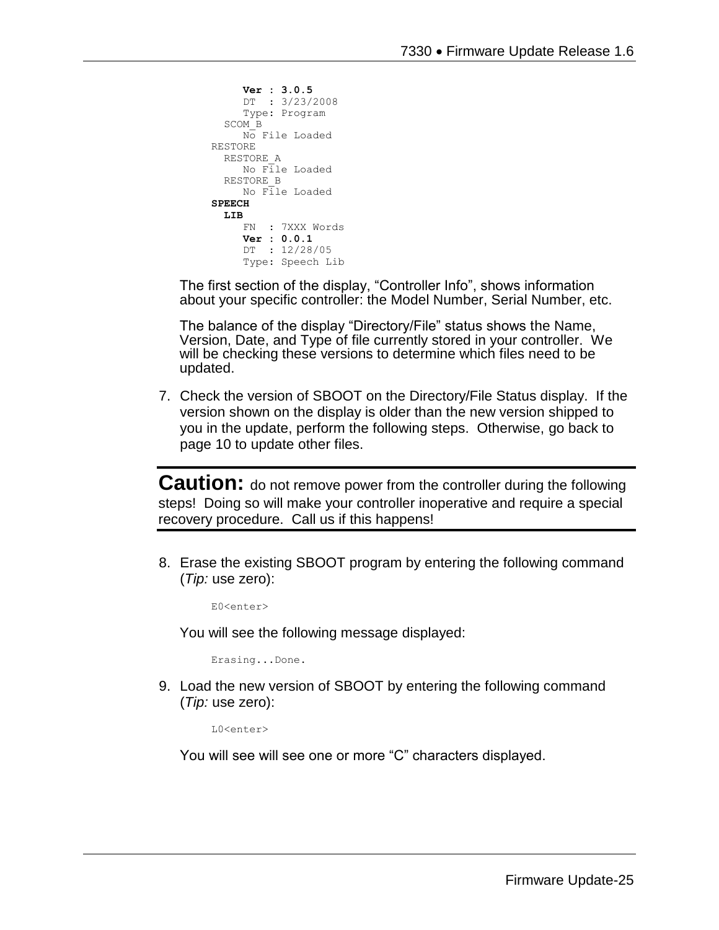```
 Ver : 3.0.5
      DT : 3/23/2008
      Type: Program
   SCOM_B
     No File Loaded
RESTORE
  RESTORE_A
      No File Loaded
   RESTORE_B
      No File Loaded
SPEECH
 LIB
      FN : 7XXX Words
      Ver : 0.0.1
      DT : 12/28/05
      Type: Speech Lib
```
The first section of the display, "Controller Info", shows information about your specific controller: the Model Number, Serial Number, etc.

The balance of the display "Directory/File" status shows the Name, Version, Date, and Type of file currently stored in your controller. We will be checking these versions to determine which files need to be updated.

7. Check the version of SBOOT on the Directory/File Status display. If the version shown on the display is older than the new version shipped to you in the update, perform the following steps. Otherwise, go back to page 10 to update other files.

**Caution:** do not remove power from the controller during the following steps! Doing so will make your controller inoperative and require a special recovery procedure. Call us if this happens!

8. Erase the existing SBOOT program by entering the following command (*Tip:* use zero):

E0<enter>

You will see the following message displayed:

Erasing...Done.

9. Load the new version of SBOOT by entering the following command (*Tip:* use zero):

L0<enter>

You will see will see one or more "C" characters displayed.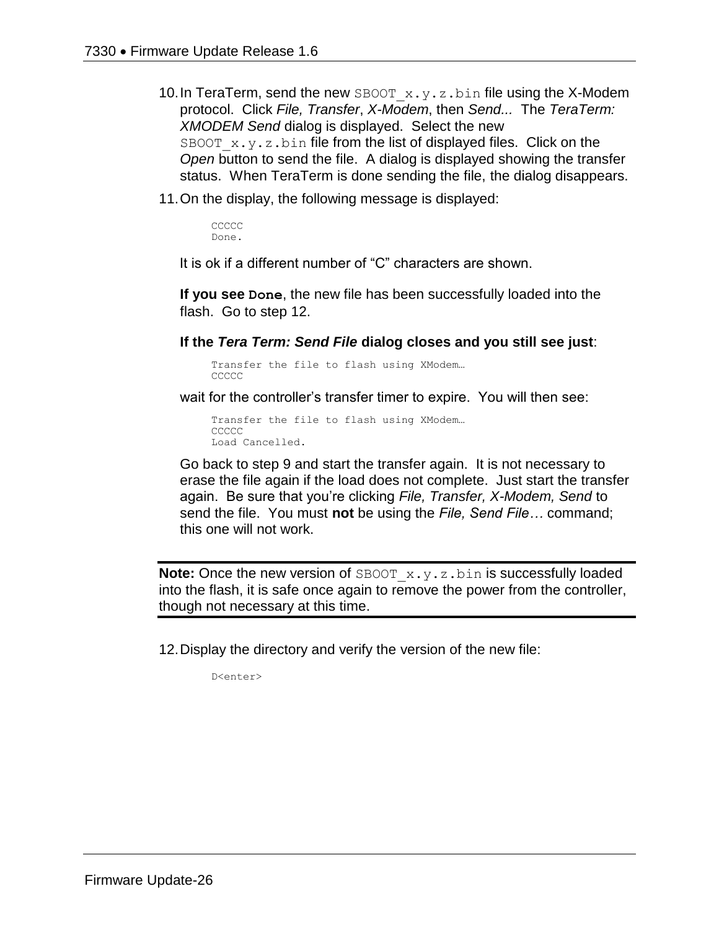- 10. In TeraTerm, send the new SBOOT  $x.y.z.bin$  file using the X-Modem protocol. Click *File, Transfer*, *X-Modem*, then *Send...* The *TeraTerm: XMODEM Send* dialog is displayed. Select the new SBOOT  $x,y,z,b$ in file from the list of displayed files. Click on the *Open* button to send the file. A dialog is displayed showing the transfer status. When TeraTerm is done sending the file, the dialog disappears.
- 11.On the display, the following message is displayed:

CCCCC. Done.

It is ok if a different number of "C" characters are shown.

**If you see Done**, the new file has been successfully loaded into the flash. Go to step 12.

**If the** *Tera Term: Send File* **dialog closes and you still see just**:

Transfer the file to flash using XModem… CCCCC.

wait for the controller's transfer timer to expire. You will then see:

Transfer the file to flash using XModem… CCCCC. Load Cancelled.

Go back to step 9 and start the transfer again. It is not necessary to erase the file again if the load does not complete. Just start the transfer again. Be sure that you're clicking *File, Transfer, X-Modem, Send* to send the file. You must **not** be using the *File, Send File…* command; this one will not work.

**Note:** Once the new version of SBOOT x.y.z.bin is successfully loaded into the flash, it is safe once again to remove the power from the controller, though not necessary at this time.

12.Display the directory and verify the version of the new file:

D<enter>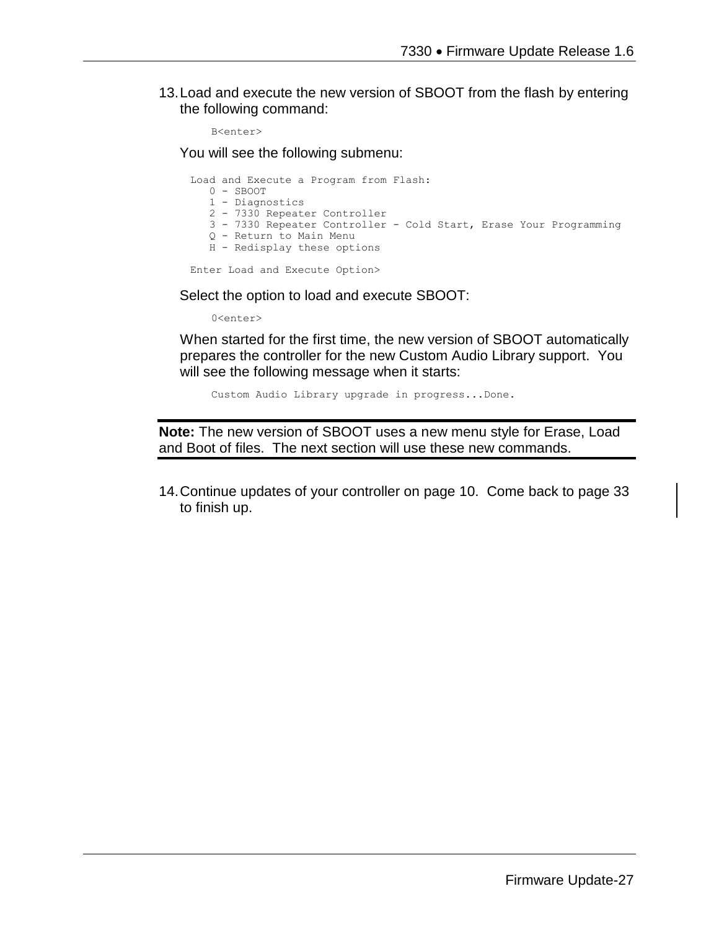13.Load and execute the new version of SBOOT from the flash by entering the following command:

```
B<enter>
```
You will see the following submenu:

Load and Execute a Program from Flash: 0 - SBOOT 1 - Diagnostics 2 - 7330 Repeater Controller 3 - 7330 Repeater Controller - Cold Start, Erase Your Programming Q - Return to Main Menu H - Redisplay these options

Enter Load and Execute Option>

Select the option to load and execute SBOOT:

0<enter>

When started for the first time, the new version of SBOOT automatically prepares the controller for the new Custom Audio Library support. You will see the following message when it starts:

Custom Audio Library upgrade in progress...Done.

**Note:** The new version of SBOOT uses a new menu style for Erase, Load and Boot of files. The next section will use these new commands.

14.Continue updates of your controller on page 10. Come back to page 33 to finish up.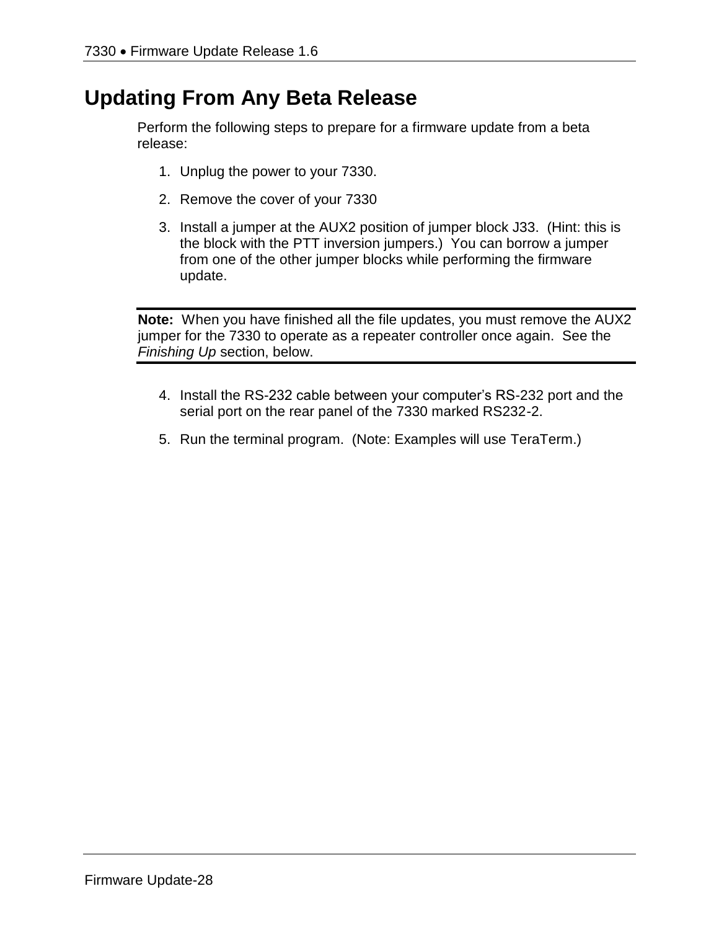# **Updating From Any Beta Release**

Perform the following steps to prepare for a firmware update from a beta release:

- 1. Unplug the power to your 7330.
- 2. Remove the cover of your 7330
- 3. Install a jumper at the AUX2 position of jumper block J33. (Hint: this is the block with the PTT inversion jumpers.) You can borrow a jumper from one of the other jumper blocks while performing the firmware update.

**Note:** When you have finished all the file updates, you must remove the AUX2 jumper for the 7330 to operate as a repeater controller once again. See the *Finishing Up* section, below.

- 4. Install the RS-232 cable between your computer's RS-232 port and the serial port on the rear panel of the 7330 marked RS232-2.
- 5. Run the terminal program. (Note: Examples will use TeraTerm.)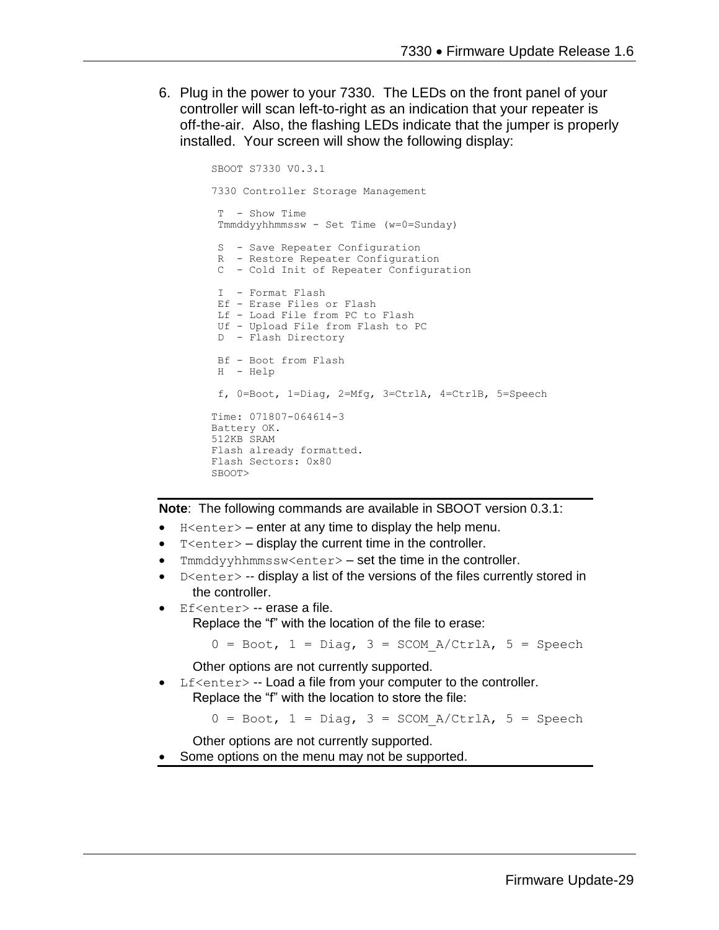6. Plug in the power to your 7330. The LEDs on the front panel of your controller will scan left-to-right as an indication that your repeater is off-the-air. Also, the flashing LEDs indicate that the jumper is properly installed. Your screen will show the following display:

```
SBOOT S7330 V0.3.1
7330 Controller Storage Management
T - Show Time
Tmmddyyhhmmssw - Set Time (w=0=Sunday)
S - Save Repeater Configuration
R - Restore Repeater Configuration
C - Cold Init of Repeater Configuration
I - Format Flash
Ef - Erase Files or Flash
Lf - Load File from PC to Flash
Uf - Upload File from Flash to PC
D - Flash Directory
Bf - Boot from Flash
H - Help
f, 0=Boot, 1=Diag, 2=Mfg, 3=CtrlA, 4=CtrlB, 5=Speech
Time: 071807-064614-3
Battery OK.
512KB SRAM
Flash already formatted.
Flash Sectors: 0x80
SBOOT>
```
**Note**: The following commands are available in SBOOT version 0.3.1:

- H<enter> enter at any time to display the help menu.
- $T$  <enter  $>$  display the current time in the controller.
- Tmmddyyhhmmssw<enter> set the time in the controller.
- $D \leq n \leq r$  -- display a list of the versions of the files currently stored in the controller.
- Ef<enter> -- erase a file. Replace the "f" with the location of the file to erase:

 $0 = \text{foot}, 1 = \text{Diag}, 3 = \text{SCOM}_A/\text{CtrlA}, 5 = \text{Speedch}$ 

Other options are not currently supported.

Lf<enter> -- Load a file from your computer to the controller. Replace the "f" with the location to store the file:

 $0 = \text{foot}, 1 = \text{Diag}, 3 = \text{SCOM A/CtrlA}, 5 = \text{Specch}$ 

Other options are not currently supported.

Some options on the menu may not be supported.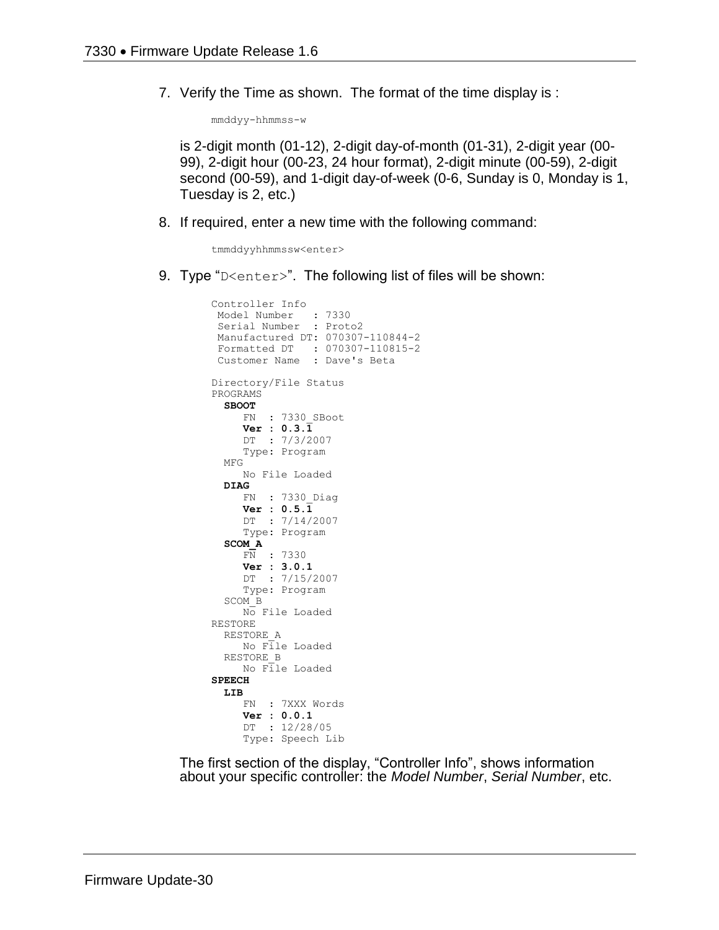7. Verify the Time as shown. The format of the time display is :

mmddyy-hhmmss-w

is 2-digit month (01-12), 2-digit day-of-month (01-31), 2-digit year (00- 99), 2-digit hour (00-23, 24 hour format), 2-digit minute (00-59), 2-digit second (00-59), and 1-digit day-of-week (0-6, Sunday is 0, Monday is 1, Tuesday is 2, etc.)

8. If required, enter a new time with the following command:

tmmddyyhhmmssw<enter>

9. Type "D <enter>". The following list of files will be shown:

```
Controller Info
 Model Number : 7330
 Serial Number : Proto2
Manufactured DT: 070307-110844-2
Formatted DT : 070307-110815-2
 Customer Name : Dave's Beta
Directory/File Status
PROGRAMS
   SBOOT
      FN : 7330_SBoot
      Ver : 0.3.1
      DT : 7/3/2007
      Type: Program
   MFG
      No File Loaded
   DIAG
     FN : 7330_Diag
     Ver : 0.5.\overline{1} DT : 7/14/2007
      Type: Program
   SCOM_A
     FN : 7330
      Ver : 3.0.1
      DT : 7/15/2007
      Type: Program
   SCOM_B
      No File Loaded
RESTORE
   RESTORE_A
     No File Loaded
   RESTORE_B
     No File Loaded
SPEECH
   LIB
      FN : 7XXX Words
      Ver : 0.0.1
      DT : 12/28/05
      Type: Speech Lib
```
The first section of the display, "Controller Info", shows information about your specific controller: the *Model Number*, *Serial Number*, etc.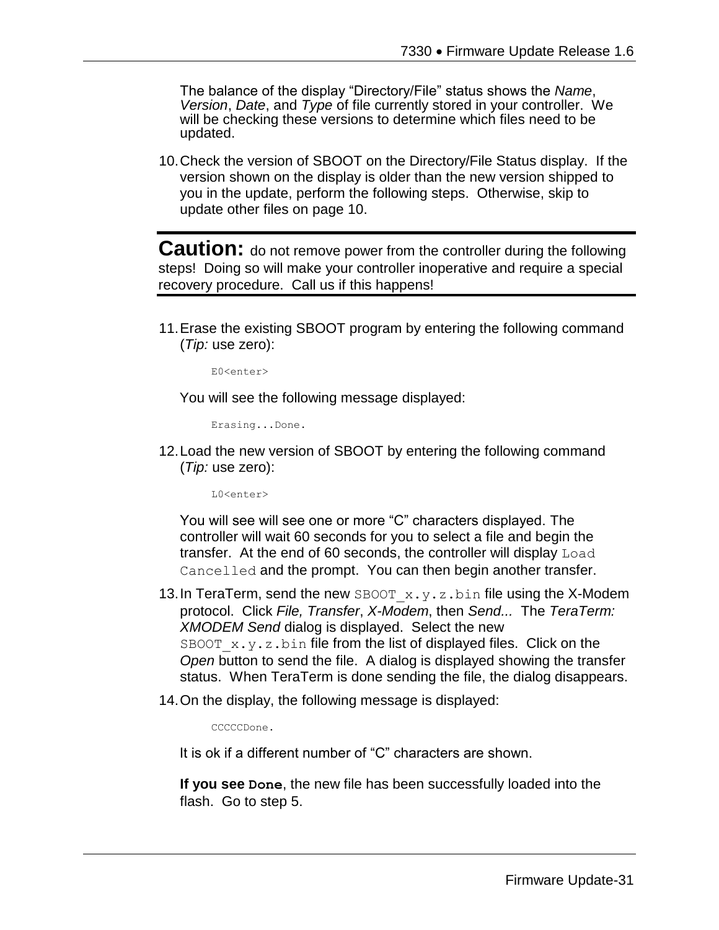The balance of the display "Directory/File" status shows the *Name*, *Version*, *Date*, and *Type* of file currently stored in your controller. We will be checking these versions to determine which files need to be updated.

10.Check the version of SBOOT on the Directory/File Status display. If the version shown on the display is older than the new version shipped to you in the update, perform the following steps. Otherwise, skip to update other files on page 10.

**Caution:** do not remove power from the controller during the following steps! Doing so will make your controller inoperative and require a special recovery procedure. Call us if this happens!

11.Erase the existing SBOOT program by entering the following command (*Tip:* use zero):

E0<enter>

You will see the following message displayed:

Erasing...Done.

12.Load the new version of SBOOT by entering the following command (*Tip:* use zero):

 $L0$ <enter>

You will see will see one or more "C" characters displayed. The controller will wait 60 seconds for you to select a file and begin the transfer. At the end of 60 seconds, the controller will display Load Cancelled and the prompt. You can then begin another transfer.

- 13. In TeraTerm, send the new SBOOT  $x.y.z.bin$  file using the X-Modem protocol. Click *File, Transfer*, *X-Modem*, then *Send...* The *TeraTerm: XMODEM Send* dialog is displayed. Select the new SBOOT  $x.y.z$  bin file from the list of displayed files. Click on the *Open* button to send the file. A dialog is displayed showing the transfer status. When TeraTerm is done sending the file, the dialog disappears.
- 14.On the display, the following message is displayed:

CCCCCDone.

It is ok if a different number of "C" characters are shown.

**If you see Done**, the new file has been successfully loaded into the flash. Go to step 5.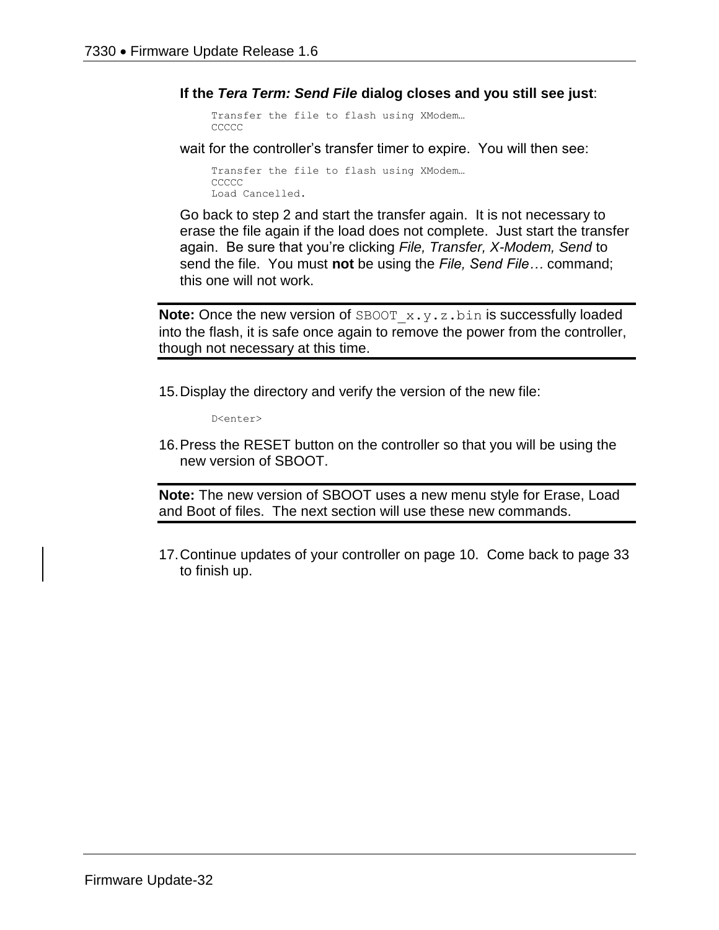**If the** *Tera Term: Send File* **dialog closes and you still see just**:

```
Transfer the file to flash using XModem…
CCCCC
```
wait for the controller's transfer timer to expire. You will then see:

```
Transfer the file to flash using XModem…
CCCCC
Load Cancelled.
```
Go back to step 2 and start the transfer again. It is not necessary to erase the file again if the load does not complete. Just start the transfer again. Be sure that you're clicking *File, Transfer, X-Modem, Send* to send the file. You must **not** be using the *File, Send File…* command; this one will not work.

**Note:** Once the new version of SBOOT x.y.z.bin is successfully loaded into the flash, it is safe once again to remove the power from the controller, though not necessary at this time.

15.Display the directory and verify the version of the new file:

D<enter>

16.Press the RESET button on the controller so that you will be using the new version of SBOOT.

**Note:** The new version of SBOOT uses a new menu style for Erase, Load and Boot of files. The next section will use these new commands.

17.Continue updates of your controller on page 10. Come back to page 33 to finish up.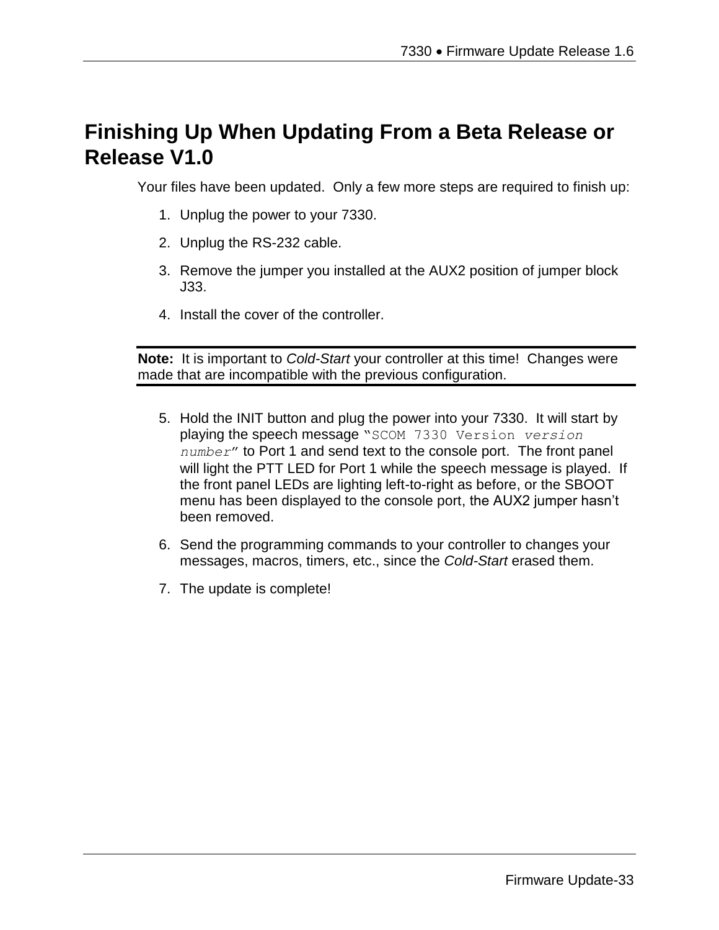# **Finishing Up When Updating From a Beta Release or Release V1.0**

Your files have been updated. Only a few more steps are required to finish up:

- 1. Unplug the power to your 7330.
- 2. Unplug the RS-232 cable.
- 3. Remove the jumper you installed at the AUX2 position of jumper block J33.
- 4. Install the cover of the controller.

**Note:** It is important to *Cold-Start* your controller at this time! Changes were made that are incompatible with the previous configuration.

- 5. Hold the INIT button and plug the power into your 7330. It will start by playing the speech message "SCOM 7330 Version *version number*" to Port 1 and send text to the console port. The front panel will light the PTT LED for Port 1 while the speech message is played. If the front panel LEDs are lighting left-to-right as before, or the SBOOT menu has been displayed to the console port, the AUX2 jumper hasn't been removed.
- 6. Send the programming commands to your controller to changes your messages, macros, timers, etc., since the *Cold-Start* erased them.
- 7. The update is complete!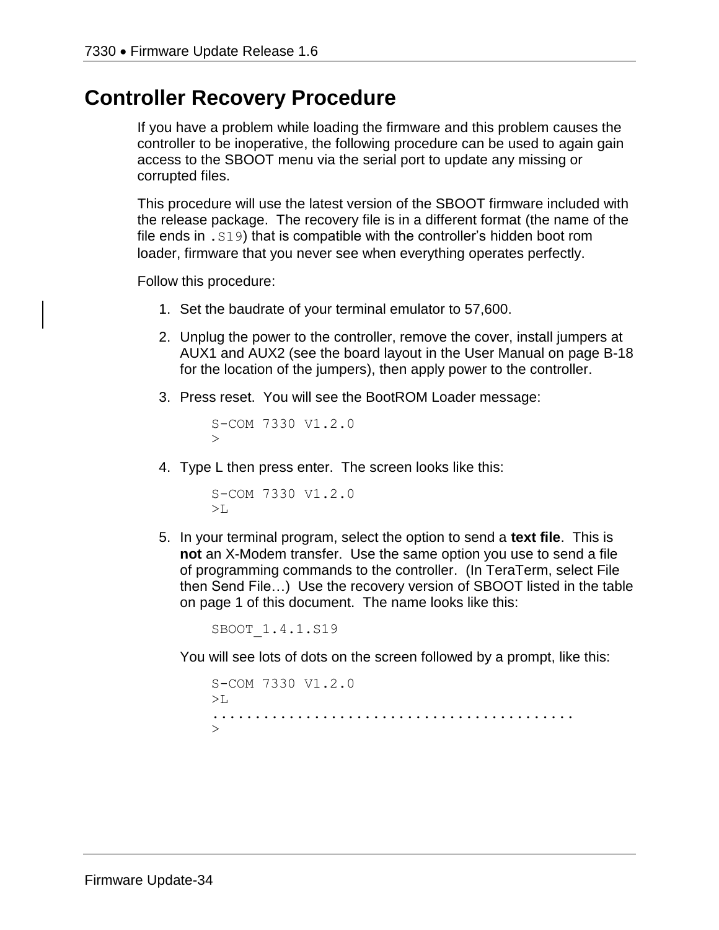## **Controller Recovery Procedure**

If you have a problem while loading the firmware and this problem causes the controller to be inoperative, the following procedure can be used to again gain access to the SBOOT menu via the serial port to update any missing or corrupted files.

This procedure will use the latest version of the SBOOT firmware included with the release package. The recovery file is in a different format (the name of the file ends in .S19) that is compatible with the controller's hidden boot rom loader, firmware that you never see when everything operates perfectly.

Follow this procedure:

- 1. Set the baudrate of your terminal emulator to 57,600.
- 2. Unplug the power to the controller, remove the cover, install jumpers at AUX1 and AUX2 (see the board layout in the User Manual on page B-18 for the location of the jumpers), then apply power to the controller.
- 3. Press reset. You will see the BootROM Loader message:

```
S-COM 7330 V1.2.0
\ddot{\phantom{1}}
```
4. Type L then press enter. The screen looks like this:

```
S-COM 7330 V1.2.0
>1.
```
5. In your terminal program, select the option to send a **text file**. This is **not** an X-Modem transfer. Use the same option you use to send a file of programming commands to the controller. (In TeraTerm, select File then Send File…) Use the recovery version of SBOOT listed in the table on page 1 of this document. The name looks like this:

SBOOT\_1.4.1.S19

You will see lots of dots on the screen followed by a prompt, like this:

```
S-COM 7330 V1.2.0
>1...........................................
\rightarrow
```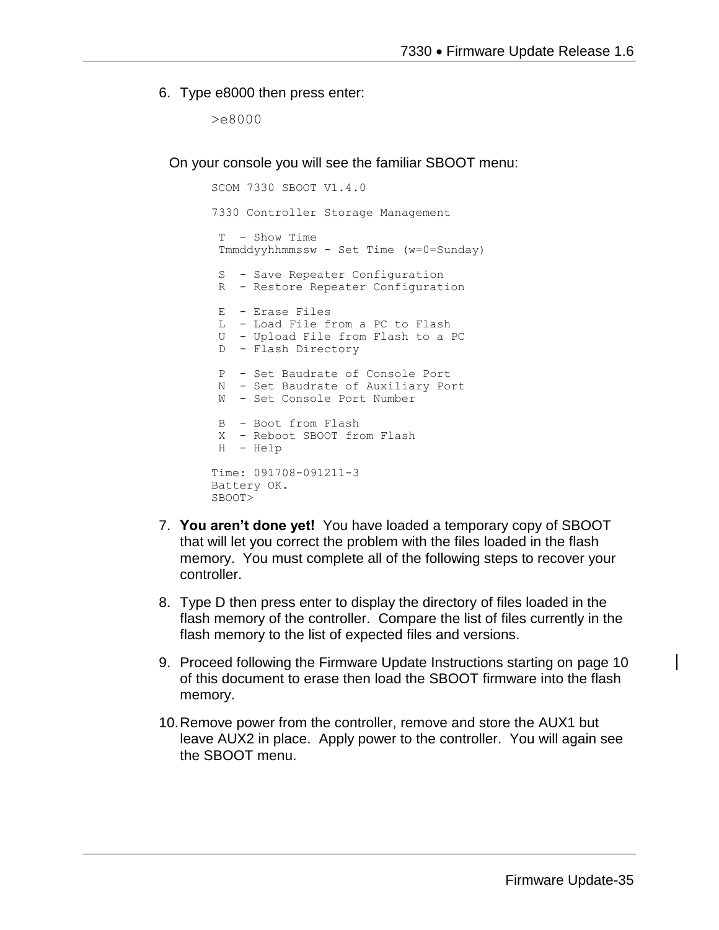#### 6. Type e8000 then press enter:

>e8000

On your console you will see the familiar SBOOT menu:

```
SCOM 7330 SBOOT V1.4.0
7330 Controller Storage Management
T - Show Time 
 Tmmddyyhhmmssw - Set Time (w=0=Sunday)
 S - Save Repeater Configuration
 R - Restore Repeater Configuration
 E - Erase Files
 L - Load File from a PC to Flash
 U - Upload File from Flash to a PC
 D - Flash Directory
 P - Set Baudrate of Console Port
 N - Set Baudrate of Auxiliary Port
W - Set Console Port Number
 B - Boot from Flash
X - Reboot SBOOT from Flash
H - Help
Time: 091708-091211-3
Battery OK.
SBOOT>
```
- 7. **You aren't done yet!** You have loaded a temporary copy of SBOOT that will let you correct the problem with the files loaded in the flash memory. You must complete all of the following steps to recover your controller.
- 8. Type D then press enter to display the directory of files loaded in the flash memory of the controller. Compare the list of files currently in the flash memory to the list of expected files and versions.
- 9. Proceed following the Firmware Update Instructions starting on page 10 of this document to erase then load the SBOOT firmware into the flash memory.
- 10.Remove power from the controller, remove and store the AUX1 but leave AUX2 in place. Apply power to the controller. You will again see the SBOOT menu.